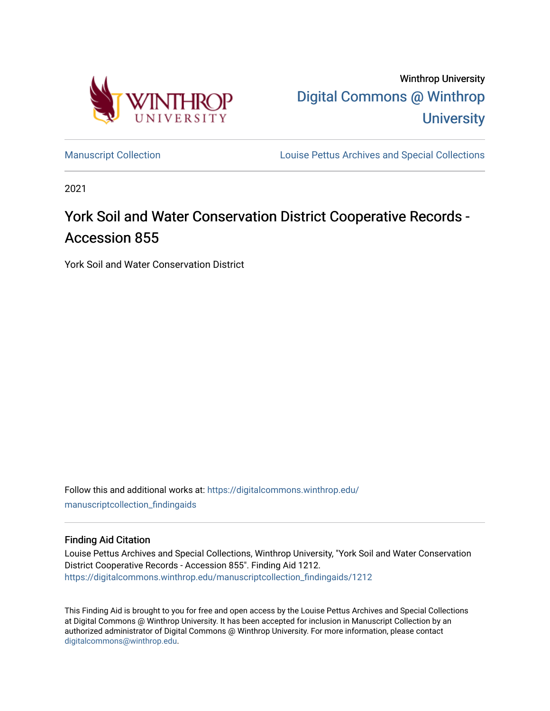

Winthrop University [Digital Commons @ Winthrop](https://digitalcommons.winthrop.edu/)  **University** 

[Manuscript Collection](https://digitalcommons.winthrop.edu/manuscriptcollection_findingaids) **Louise Pettus Archives and Special Collections** 

2021

# York Soil and Water Conservation District Cooperative Records -Accession 855

York Soil and Water Conservation District

Follow this and additional works at: [https://digitalcommons.winthrop.edu/](https://digitalcommons.winthrop.edu/manuscriptcollection_findingaids?utm_source=digitalcommons.winthrop.edu%2Fmanuscriptcollection_findingaids%2F1212&utm_medium=PDF&utm_campaign=PDFCoverPages) [manuscriptcollection\\_findingaids](https://digitalcommons.winthrop.edu/manuscriptcollection_findingaids?utm_source=digitalcommons.winthrop.edu%2Fmanuscriptcollection_findingaids%2F1212&utm_medium=PDF&utm_campaign=PDFCoverPages) 

#### Finding Aid Citation

Louise Pettus Archives and Special Collections, Winthrop University, "York Soil and Water Conservation District Cooperative Records - Accession 855". Finding Aid 1212. [https://digitalcommons.winthrop.edu/manuscriptcollection\\_findingaids/1212](https://digitalcommons.winthrop.edu/manuscriptcollection_findingaids/1212?utm_source=digitalcommons.winthrop.edu%2Fmanuscriptcollection_findingaids%2F1212&utm_medium=PDF&utm_campaign=PDFCoverPages) 

This Finding Aid is brought to you for free and open access by the Louise Pettus Archives and Special Collections at Digital Commons @ Winthrop University. It has been accepted for inclusion in Manuscript Collection by an authorized administrator of Digital Commons @ Winthrop University. For more information, please contact [digitalcommons@winthrop.edu](mailto:digitalcommons@winthrop.edu).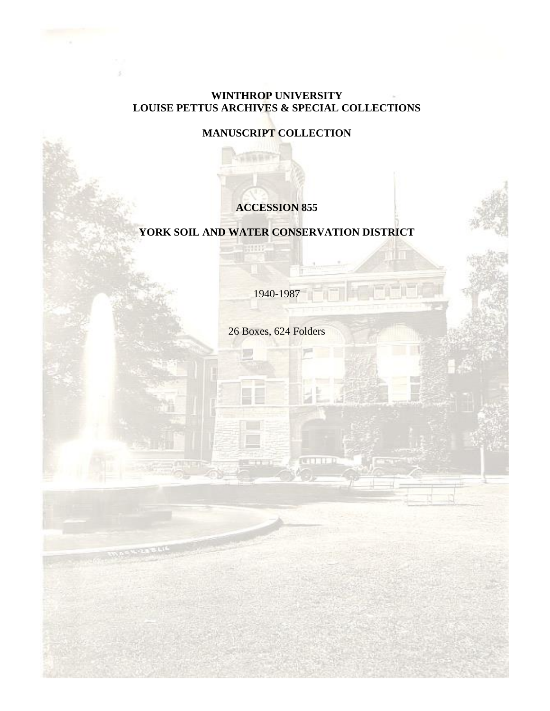# **WINTHROP UNIVERSITY LOUISE PETTUS ARCHIVES & SPECIAL COLLECTIONS**

**MANUSCRIPT COLLECTION**

■日報新行

# **ACCESSION 855**

# **YORK SOIL AND WATER CONSERVATION DISTRICT**

mm

1940-1987

26 Boxes, 624 Folders

**REAL PROPERTY**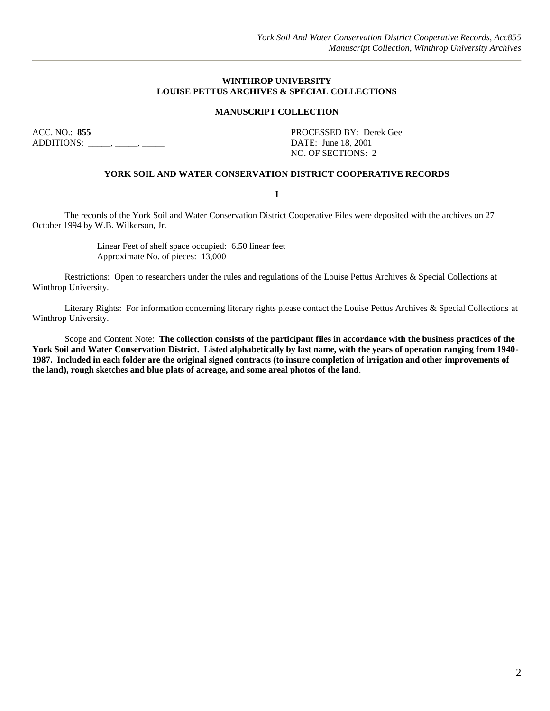#### **WINTHROP UNIVERSITY LOUISE PETTUS ARCHIVES & SPECIAL COLLECTIONS**

#### **MANUSCRIPT COLLECTION**

ACC. NO.: **855** PROCESSED BY: Derek Gee ADDITIONS: \_\_\_\_\_, \_\_\_\_, \_\_\_\_\_\_, \_\_\_\_\_\_\_ DATE: <u>June 18, 2001</u>

NO. OF SECTIONS: 2

#### **YORK SOIL AND WATER CONSERVATION DISTRICT COOPERATIVE RECORDS**

**I**

The records of the York Soil and Water Conservation District Cooperative Files were deposited with the archives on 27 October 1994 by W.B. Wilkerson, Jr.

> Linear Feet of shelf space occupied: 6.50 linear feet Approximate No. of pieces: 13,000

Restrictions: Open to researchers under the rules and regulations of the Louise Pettus Archives & Special Collections at Winthrop University.

Literary Rights: For information concerning literary rights please contact the Louise Pettus Archives & Special Collections at Winthrop University.

Scope and Content Note: **The collection consists of the participant files in accordance with the business practices of the York Soil and Water Conservation District. Listed alphabetically by last name, with the years of operation ranging from 1940- 1987. Included in each folder are the original signed contracts (to insure completion of irrigation and other improvements of the land), rough sketches and blue plats of acreage, and some areal photos of the land**.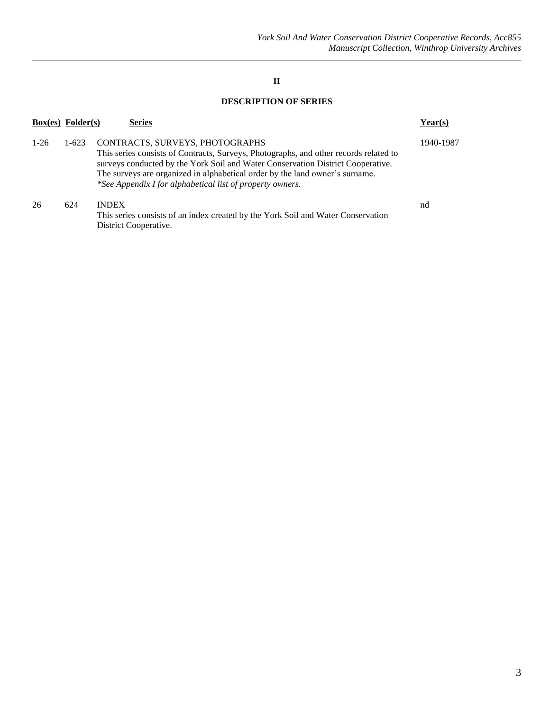## **II**

## **DESCRIPTION OF SERIES**

| $Box(es)$ Folder(s) |         | <b>Series</b>                                                                                                                                                                                                                                                                                                                                            | Year(s)   |
|---------------------|---------|----------------------------------------------------------------------------------------------------------------------------------------------------------------------------------------------------------------------------------------------------------------------------------------------------------------------------------------------------------|-----------|
| $1-26$              | $1-623$ | CONTRACTS, SURVEYS, PHOTOGRAPHS<br>This series consists of Contracts, Surveys, Photographs, and other records related to<br>surveys conducted by the York Soil and Water Conservation District Cooperative.<br>The surveys are organized in alphabetical order by the land owner's surname.<br>*See Appendix I for alphabetical list of property owners. | 1940-1987 |
| 26                  | 624     | <b>INDEX</b><br>This series consists of an index created by the York Soil and Water Conservation<br>District Cooperative.                                                                                                                                                                                                                                | nd        |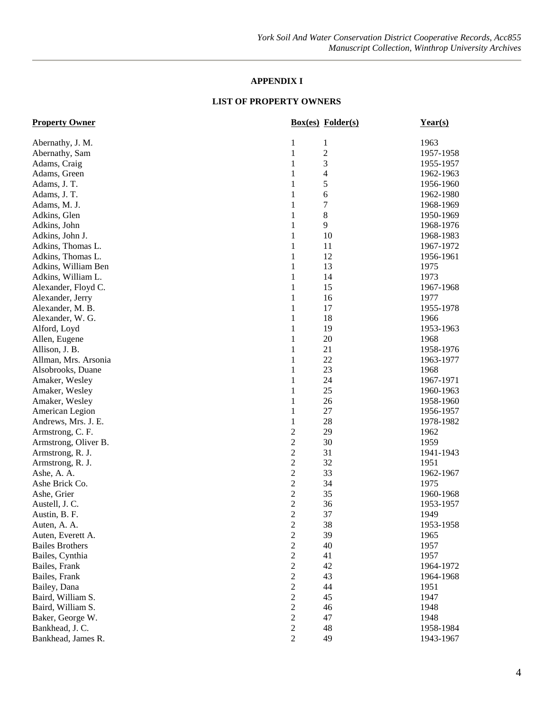# **APPENDIX I**

| <b>Box(es)</b> Folder(s)<br><b>Property Owner</b> | $Year(s)$ |
|---------------------------------------------------|-----------|
| 1<br>$\mathbf{1}$<br>Abernathy, J. M.             | 1963      |
| $\overline{c}$<br>$\mathbf{1}$<br>Abernathy, Sam  | 1957-1958 |
| 3<br>Adams, Craig<br>1                            | 1955-1957 |
| 4<br>Adams, Green<br>1                            | 1962-1963 |
| 5<br>Adams, J. T.<br>1                            | 1956-1960 |
| 6<br>Adams, J. T.<br>1                            | 1962-1980 |
| 7<br>1<br>Adams, M. J.                            | 1968-1969 |
| 8<br>Adkins, Glen<br>1                            | 1950-1969 |
| 9<br>Adkins, John<br>1                            | 1968-1976 |
| 10<br>Adkins, John J.<br>1                        | 1968-1983 |
| 11<br>Adkins, Thomas L.<br>1                      | 1967-1972 |
| 12<br>Adkins, Thomas L.<br>1                      | 1956-1961 |
| 1<br>13<br>Adkins, William Ben                    | 1975      |
| 1<br>14<br>Adkins, William L.                     | 1973      |
| 15<br>Alexander, Floyd C.<br>1                    | 1967-1968 |
| Alexander, Jerry<br>1<br>16                       | 1977      |
| Alexander, M. B.<br>1<br>17                       | 1955-1978 |
| 18<br>Alexander, W. G.<br>1                       | 1966      |
| 19<br>Alford, Loyd<br>1                           | 1953-1963 |
| 20<br>1<br>Allen, Eugene                          | 1968      |
| 21<br>Allison, J. B.<br>1                         | 1958-1976 |
| 22<br>Allman, Mrs. Arsonia<br>1                   | 1963-1977 |
| 23<br>Alsobrooks, Duane<br>1                      | 1968      |
| 1<br>24<br>Amaker, Wesley                         | 1967-1971 |
| $\mathbf{1}$<br>25<br>Amaker, Wesley              | 1960-1963 |
| 26<br>Amaker, Wesley<br>1                         | 1958-1960 |
| 27<br>American Legion<br>1                        | 1956-1957 |
| 28<br>$\mathbf{1}$<br>Andrews, Mrs. J. E.         | 1978-1982 |
| $\overline{2}$<br>29<br>Armstrong, C. F.          | 1962      |
| $\overline{2}$<br>30<br>Armstrong, Oliver B.      | 1959      |
| $\mathfrak{2}$<br>31<br>Armstrong, R. J.          | 1941-1943 |
| $\mathfrak{2}$<br>32<br>Armstrong, R. J.          | 1951      |
| $\mathfrak{2}$<br>33<br>Ashe, A. A.               | 1962-1967 |
| $\mathfrak{2}$<br>34<br>Ashe Brick Co.            | 1975      |
| $\overline{2}$<br>35<br>Ashe, Grier               | 1960-1968 |
| $\overline{2}$<br>36<br>Austell, J. C.            | 1953-1957 |
| $\overline{2}$<br>37<br>Austin, B. F.             | 1949      |
| $\mathfrak{2}$<br>38<br>Auten, A. A.              | 1953-1958 |
| $\mathfrak{2}$<br>39<br>Auten, Everett A.         | 1965      |
| $\overline{c}$<br>40<br><b>Bailes Brothers</b>    | 1957      |
| $\boldsymbol{2}$<br>41<br>Bailes, Cynthia         | 1957      |
| $\sqrt{2}$<br>Bailes, Frank<br>42                 | 1964-1972 |
| $\sqrt{2}$<br>43<br>Bailes, Frank                 | 1964-1968 |
| $\overline{2}$<br>44<br>Bailey, Dana              | 1951      |
| $\sqrt{2}$<br>45<br>Baird, William S.             | 1947      |
| $\boldsymbol{2}$<br>Baird, William S.<br>46       | 1948      |
| $\boldsymbol{2}$<br>Baker, George W.<br>47        | 1948      |
| $\boldsymbol{2}$<br>Bankhead, J. C.<br>48         | 1958-1984 |
| $\overline{2}$<br>Bankhead, James R.<br>49        | 1943-1967 |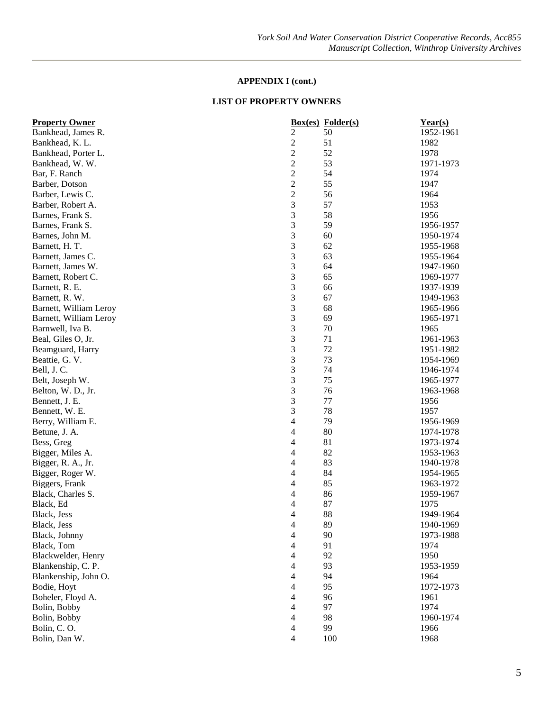| <b>Property Owner</b>  |                | <b>Box(es)</b> Folder(s) | Year(s)                |
|------------------------|----------------|--------------------------|------------------------|
| Bankhead, James R.     | 2              | 50                       | 1952-1961              |
| Bankhead, K. L.        | $\overline{c}$ | 51                       | 1982                   |
| Bankhead, Porter L.    | $\overline{c}$ | 52                       | 1978                   |
| Bankhead, W. W.        | $\overline{c}$ | 53                       | 1971-1973              |
| Bar, F. Ranch          | $\overline{c}$ | 54                       | 1974                   |
| Barber, Dotson         | $\overline{c}$ | 55                       | 1947                   |
| Barber, Lewis C.       | $\overline{c}$ | 56                       | 1964                   |
| Barber, Robert A.      | 3              | 57                       | 1953                   |
| Barnes, Frank S.       | 3              | 58                       | 1956                   |
| Barnes, Frank S.       | 3              | 59                       | 1956-1957              |
| Barnes, John M.        | 3              | 60                       | 1950-1974              |
| Barnett, H. T.         | 3              | 62                       | 1955-1968              |
| Barnett, James C.      | 3              | 63                       | 1955-1964              |
| Barnett, James W.      | 3              | 64                       | 1947-1960              |
| Barnett, Robert C.     | 3              | 65                       | 1969-1977              |
| Barnett, R. E.         | 3              | 66                       | 1937-1939              |
| Barnett, R. W.         | 3              | 67                       | 1949-1963              |
| Barnett, William Leroy | 3              | 68                       | 1965-1966              |
| Barnett, William Leroy | 3              | 69                       | 1965-1971              |
| Barnwell, Iva B.       | 3              | 70                       | 1965                   |
| Beal, Giles O, Jr.     | 3              | 71                       | 1961-1963              |
|                        | 3              | 72                       | 1951-1982              |
| Beamguard, Harry       | 3              | 73                       | 1954-1969              |
| Beattie, G. V.         |                | 74                       |                        |
| Bell, J.C.             | 3              | 75                       | 1946-1974              |
| Belt, Joseph W.        | 3<br>3         | 76                       | 1965-1977<br>1963-1968 |
| Belton, W. D., Jr.     | 3              | 77                       |                        |
| Bennett, J. E.         |                |                          | 1956                   |
| Bennett, W. E.         | 3              | 78                       | 1957                   |
| Berry, William E.      | 4              | 79                       | 1956-1969              |
| Betune, J. A.          | 4              | 80                       | 1974-1978              |
| Bess, Greg             | 4              | 81                       | 1973-1974              |
| Bigger, Miles A.       | 4              | 82                       | 1953-1963              |
| Bigger, R. A., Jr.     | 4              | 83                       | 1940-1978              |
| Bigger, Roger W.       | 4              | 84                       | 1954-1965              |
| Biggers, Frank         | 4              | 85                       | 1963-1972              |
| Black, Charles S.      | 4              | 86                       | 1959-1967              |
| Black, Ed              | 4              | 87                       | 1975                   |
| Black, Jess            | 4              | 88                       | 1949-1964              |
| Black, Jess            | 4              | 89                       | 1940-1969              |
| Black, Johnny          | 4              | 90                       | 1973-1988              |
| Black, Tom             | 4              | 91                       | 1974                   |
| Blackwelder, Henry     | $\overline{4}$ | 92                       | 1950                   |
| Blankenship, C. P.     | 4              | 93                       | 1953-1959              |
| Blankenship, John O.   | $\overline{4}$ | 94                       | 1964                   |
| Bodie, Hoyt            | $\overline{4}$ | 95                       | 1972-1973              |
| Boheler, Floyd A.      | $\overline{4}$ | 96                       | 1961                   |
| Bolin, Bobby           | 4              | 97                       | 1974                   |
| Bolin, Bobby           | 4              | 98                       | 1960-1974              |
| Bolin, C.O.            | 4              | 99                       | 1966                   |
| Bolin, Dan W.          | $\overline{4}$ | 100                      | 1968                   |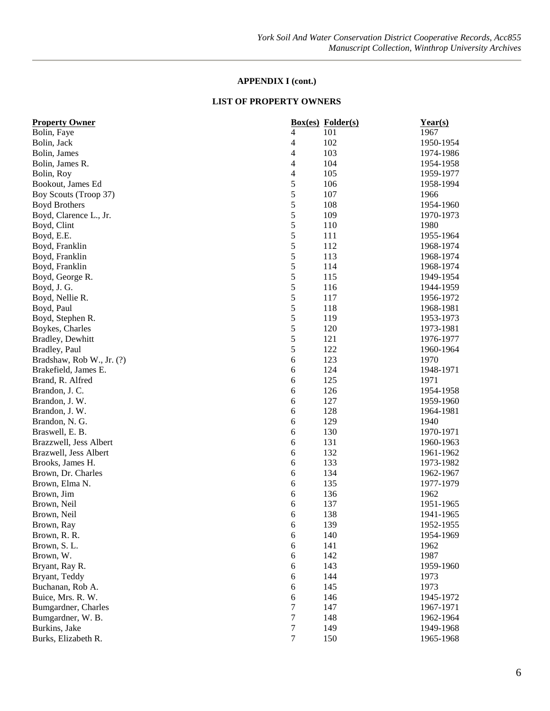| <b>Property Owner</b>     |                       | <b>Box(es)</b> Folder(s) | Year(s)                |
|---------------------------|-----------------------|--------------------------|------------------------|
| Bolin, Faye               | 4                     | 101                      | 1967                   |
| Bolin, Jack               | 4                     | 102                      | 1950-1954              |
| Bolin, James              | 4                     | 103                      | 1974-1986              |
| Bolin, James R.           | 4                     | 104                      | 1954-1958              |
| Bolin, Roy                | 4                     | 105                      | 1959-1977              |
| Bookout, James Ed         | $\mathfrak s$         | 106                      | 1958-1994              |
| Boy Scouts (Troop 37)     | 5                     | 107                      | 1966                   |
| <b>Boyd Brothers</b>      | 5                     | 108                      | 1954-1960              |
| Boyd, Clarence L., Jr.    | 5                     | 109                      | 1970-1973              |
| Boyd, Clint               | 5                     | 110                      | 1980                   |
| Boyd, E.E.                | 5                     | 111                      | 1955-1964              |
| Boyd, Franklin            | 5                     | 112                      | 1968-1974              |
| Boyd, Franklin            | $\sqrt{5}$            | 113                      | 1968-1974              |
| Boyd, Franklin            | 5                     | 114                      | 1968-1974              |
| Boyd, George R.           | 5                     | 115                      | 1949-1954              |
| Boyd, J. G.               | 5                     | 116                      | 1944-1959              |
| Boyd, Nellie R.           | 5                     | 117                      | 1956-1972              |
| Boyd, Paul                | $\sqrt{5}$            | 118                      | 1968-1981              |
| Boyd, Stephen R.          | 5                     | 119                      | 1953-1973              |
| Boykes, Charles           | 5                     | 120                      | 1973-1981              |
| Bradley, Dewhitt          | 5                     | 121                      | 1976-1977              |
| Bradley, Paul             | 5                     | 122                      | 1960-1964              |
| Bradshaw, Rob W., Jr. (?) | 6                     | 123                      | 1970                   |
| Brakefield, James E.      | 6                     | 124                      | 1948-1971              |
| Brand, R. Alfred          | 6                     | 125                      | 1971                   |
| Brandon, J. C.            | 6                     | 126                      | 1954-1958              |
| Brandon, J. W.            | 6                     | 127                      | 1959-1960              |
| Brandon, J. W.            | 6                     | 128                      | 1964-1981              |
| Brandon, N. G.            | 6                     | 129                      | 1940                   |
| Braswell, E. B.           | 6                     | 130                      | 1970-1971              |
| Brazzwell, Jess Albert    | $\sqrt{6}$            | 131                      | 1960-1963              |
| Brazwell, Jess Albert     | $\sqrt{6}$            | 132                      | 1961-1962              |
| Brooks, James H.          | 6                     | 133                      | 1973-1982              |
| Brown, Dr. Charles        | 6                     | 134                      | 1962-1967              |
| Brown, Elma N.            | 6                     | 135                      | 1977-1979              |
| Brown, Jim                | 6                     | 136                      | 1962                   |
| Brown, Neil               | 6                     | 137                      | 1951-1965              |
| Brown, Neil               | 6                     | 138                      | 1941-1965              |
| Brown, Ray                | 6                     | 139                      | 1952-1955              |
| Brown, R. R.              | 6                     | 140                      | 1954-1969              |
| Brown, S.L.               | $\boldsymbol{6}$      | 141                      | 1962                   |
| Brown, W.                 | $\boldsymbol{6}$      | 142                      | 1987                   |
| Bryant, Ray R.            | $\boldsymbol{6}$      | 143                      | 1959-1960              |
| Bryant, Teddy             | 6                     | 144                      | 1973                   |
| Buchanan, Rob A.          | 6                     | 145                      | 1973                   |
| Buice, Mrs. R. W.         |                       |                          |                        |
|                           | 6<br>$\boldsymbol{7}$ | 146<br>147               | 1945-1972              |
| Bumgardner, Charles       |                       |                          | 1967-1971<br>1962-1964 |
| Bumgardner, W. B.         | $\tau$                | 148                      |                        |
| Burkins, Jake             | $\tau$                | 149                      | 1949-1968              |
| Burks, Elizabeth R.       | $\tau$                | 150                      | 1965-1968              |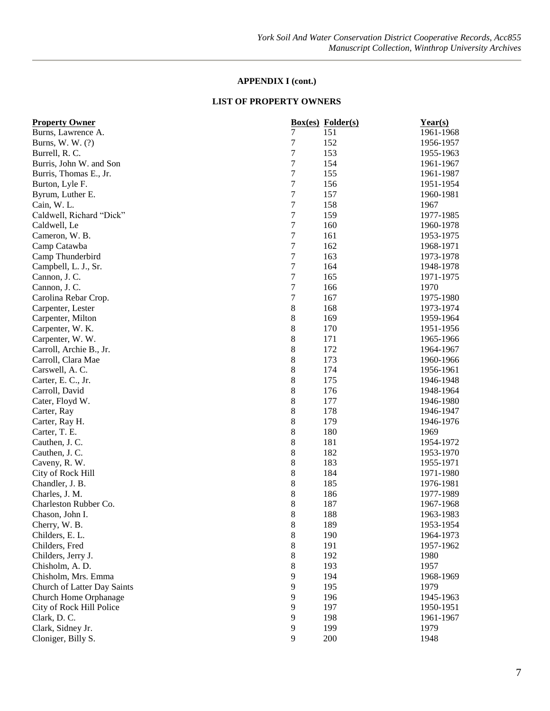| 7<br>151<br>$\boldsymbol{7}$<br>152<br>Burns, W. W. (?)<br>1956-1957<br>$\boldsymbol{7}$<br>153<br>Burrell, R. C.<br>1955-1963<br>7<br>Burris, John W. and Son<br>154<br>1961-1967<br>7<br>Burris, Thomas E., Jr.<br>155<br>1961-1987<br>7<br>Burton, Lyle F.<br>156<br>1951-1954<br>7<br>157<br>Byrum, Luther E.<br>1960-1981<br>$\boldsymbol{7}$<br>158<br>1967<br>Cain, W.L.<br>7<br>Caldwell, Richard "Dick"<br>159<br>1977-1985<br>$\overline{7}$<br>160<br>Caldwell, Le<br>1960-1978<br>$\boldsymbol{7}$<br>161<br>Cameron, W. B.<br>1953-1975<br>$\boldsymbol{7}$<br>162<br>Camp Catawba<br>1968-1971<br>7<br>163<br>Camp Thunderbird<br>1973-1978<br>$\overline{7}$<br>Campbell, L. J., Sr.<br>164<br>1948-1978<br>7<br>165<br>1971-1975<br>Cannon, J. C.<br>$\boldsymbol{7}$<br>166<br>1970<br>Cannon, J. C.<br>$\boldsymbol{7}$<br>167<br>1975-1980<br>Carolina Rebar Crop.<br>8<br>Carpenter, Lester<br>168<br>1973-1974<br>8<br>169<br>Carpenter, Milton<br>1959-1964<br>8<br>Carpenter, W. K.<br>170<br>1951-1956<br>8<br>171<br>Carpenter, W. W.<br>1965-1966<br>8<br>172<br>Carroll, Archie B., Jr.<br>1964-1967<br>8<br>173<br>Carroll, Clara Mae<br>1960-1966<br>8<br>174<br>Carswell, A. C.<br>1956-1961<br>8<br>Carter, E. C., Jr.<br>175<br>1946-1948<br>8<br>Carroll, David<br>176<br>1948-1964<br>8<br>177<br>Cater, Floyd W.<br>1946-1980<br>8<br>178<br>Carter, Ray<br>1946-1947<br>8<br>179<br>1946-1976<br>Carter, Ray H.<br>8<br>180<br>Carter, T. E.<br>1969<br>8<br>181<br>Cauthen, J. C.<br>1954-1972<br>8<br>Cauthen, J. C.<br>182<br>1953-1970<br>8<br>183<br>1955-1971<br>Caveny, R. W.<br>8<br>184<br>City of Rock Hill<br>1971-1980<br>8<br>185<br>1976-1981<br>Chandler, J. B.<br>8<br>186<br>Charles, J. M.<br>1977-1989<br>8<br>Charleston Rubber Co.<br>187<br>1967-1968<br>8<br>188<br>1963-1983<br>Chason, John I.<br>$\bf 8$<br>Cherry, W. B.<br>189<br>1953-1954<br>8<br>Childers, E. L.<br>190<br>1964-1973<br>8<br>Childers, Fred<br>191<br>1957-1962<br>$\,8\,$<br>192<br>Childers, Jerry J.<br>1980<br>$\,8\,$<br>193<br>1957<br>Chisholm, A.D.<br>Chisholm, Mrs. Emma<br>9<br>194<br>1968-1969<br>9<br>195<br>Church of Latter Day Saints<br>1979<br>9<br>196<br>Church Home Orphanage<br>1945-1963<br>$\overline{9}$<br>197<br>City of Rock Hill Police<br>1950-1951<br>$\overline{9}$<br>198<br>Clark, D.C.<br>1961-1967 | <b>Property Owner</b> |   | <b>Box(es)</b> Folder(s) | $Year(s)$ |
|----------------------------------------------------------------------------------------------------------------------------------------------------------------------------------------------------------------------------------------------------------------------------------------------------------------------------------------------------------------------------------------------------------------------------------------------------------------------------------------------------------------------------------------------------------------------------------------------------------------------------------------------------------------------------------------------------------------------------------------------------------------------------------------------------------------------------------------------------------------------------------------------------------------------------------------------------------------------------------------------------------------------------------------------------------------------------------------------------------------------------------------------------------------------------------------------------------------------------------------------------------------------------------------------------------------------------------------------------------------------------------------------------------------------------------------------------------------------------------------------------------------------------------------------------------------------------------------------------------------------------------------------------------------------------------------------------------------------------------------------------------------------------------------------------------------------------------------------------------------------------------------------------------------------------------------------------------------------------------------------------------------------------------------------------------------------------------------------------------------------------------------------------------------------------------------------------------------------------------------------------------------------------------------------------------------------------------------------------------------------------|-----------------------|---|--------------------------|-----------|
|                                                                                                                                                                                                                                                                                                                                                                                                                                                                                                                                                                                                                                                                                                                                                                                                                                                                                                                                                                                                                                                                                                                                                                                                                                                                                                                                                                                                                                                                                                                                                                                                                                                                                                                                                                                                                                                                                                                                                                                                                                                                                                                                                                                                                                                                                                                                                                            | Burns, Lawrence A.    |   |                          | 1961-1968 |
|                                                                                                                                                                                                                                                                                                                                                                                                                                                                                                                                                                                                                                                                                                                                                                                                                                                                                                                                                                                                                                                                                                                                                                                                                                                                                                                                                                                                                                                                                                                                                                                                                                                                                                                                                                                                                                                                                                                                                                                                                                                                                                                                                                                                                                                                                                                                                                            |                       |   |                          |           |
|                                                                                                                                                                                                                                                                                                                                                                                                                                                                                                                                                                                                                                                                                                                                                                                                                                                                                                                                                                                                                                                                                                                                                                                                                                                                                                                                                                                                                                                                                                                                                                                                                                                                                                                                                                                                                                                                                                                                                                                                                                                                                                                                                                                                                                                                                                                                                                            |                       |   |                          |           |
|                                                                                                                                                                                                                                                                                                                                                                                                                                                                                                                                                                                                                                                                                                                                                                                                                                                                                                                                                                                                                                                                                                                                                                                                                                                                                                                                                                                                                                                                                                                                                                                                                                                                                                                                                                                                                                                                                                                                                                                                                                                                                                                                                                                                                                                                                                                                                                            |                       |   |                          |           |
|                                                                                                                                                                                                                                                                                                                                                                                                                                                                                                                                                                                                                                                                                                                                                                                                                                                                                                                                                                                                                                                                                                                                                                                                                                                                                                                                                                                                                                                                                                                                                                                                                                                                                                                                                                                                                                                                                                                                                                                                                                                                                                                                                                                                                                                                                                                                                                            |                       |   |                          |           |
|                                                                                                                                                                                                                                                                                                                                                                                                                                                                                                                                                                                                                                                                                                                                                                                                                                                                                                                                                                                                                                                                                                                                                                                                                                                                                                                                                                                                                                                                                                                                                                                                                                                                                                                                                                                                                                                                                                                                                                                                                                                                                                                                                                                                                                                                                                                                                                            |                       |   |                          |           |
|                                                                                                                                                                                                                                                                                                                                                                                                                                                                                                                                                                                                                                                                                                                                                                                                                                                                                                                                                                                                                                                                                                                                                                                                                                                                                                                                                                                                                                                                                                                                                                                                                                                                                                                                                                                                                                                                                                                                                                                                                                                                                                                                                                                                                                                                                                                                                                            |                       |   |                          |           |
|                                                                                                                                                                                                                                                                                                                                                                                                                                                                                                                                                                                                                                                                                                                                                                                                                                                                                                                                                                                                                                                                                                                                                                                                                                                                                                                                                                                                                                                                                                                                                                                                                                                                                                                                                                                                                                                                                                                                                                                                                                                                                                                                                                                                                                                                                                                                                                            |                       |   |                          |           |
|                                                                                                                                                                                                                                                                                                                                                                                                                                                                                                                                                                                                                                                                                                                                                                                                                                                                                                                                                                                                                                                                                                                                                                                                                                                                                                                                                                                                                                                                                                                                                                                                                                                                                                                                                                                                                                                                                                                                                                                                                                                                                                                                                                                                                                                                                                                                                                            |                       |   |                          |           |
|                                                                                                                                                                                                                                                                                                                                                                                                                                                                                                                                                                                                                                                                                                                                                                                                                                                                                                                                                                                                                                                                                                                                                                                                                                                                                                                                                                                                                                                                                                                                                                                                                                                                                                                                                                                                                                                                                                                                                                                                                                                                                                                                                                                                                                                                                                                                                                            |                       |   |                          |           |
|                                                                                                                                                                                                                                                                                                                                                                                                                                                                                                                                                                                                                                                                                                                                                                                                                                                                                                                                                                                                                                                                                                                                                                                                                                                                                                                                                                                                                                                                                                                                                                                                                                                                                                                                                                                                                                                                                                                                                                                                                                                                                                                                                                                                                                                                                                                                                                            |                       |   |                          |           |
|                                                                                                                                                                                                                                                                                                                                                                                                                                                                                                                                                                                                                                                                                                                                                                                                                                                                                                                                                                                                                                                                                                                                                                                                                                                                                                                                                                                                                                                                                                                                                                                                                                                                                                                                                                                                                                                                                                                                                                                                                                                                                                                                                                                                                                                                                                                                                                            |                       |   |                          |           |
|                                                                                                                                                                                                                                                                                                                                                                                                                                                                                                                                                                                                                                                                                                                                                                                                                                                                                                                                                                                                                                                                                                                                                                                                                                                                                                                                                                                                                                                                                                                                                                                                                                                                                                                                                                                                                                                                                                                                                                                                                                                                                                                                                                                                                                                                                                                                                                            |                       |   |                          |           |
|                                                                                                                                                                                                                                                                                                                                                                                                                                                                                                                                                                                                                                                                                                                                                                                                                                                                                                                                                                                                                                                                                                                                                                                                                                                                                                                                                                                                                                                                                                                                                                                                                                                                                                                                                                                                                                                                                                                                                                                                                                                                                                                                                                                                                                                                                                                                                                            |                       |   |                          |           |
|                                                                                                                                                                                                                                                                                                                                                                                                                                                                                                                                                                                                                                                                                                                                                                                                                                                                                                                                                                                                                                                                                                                                                                                                                                                                                                                                                                                                                                                                                                                                                                                                                                                                                                                                                                                                                                                                                                                                                                                                                                                                                                                                                                                                                                                                                                                                                                            |                       |   |                          |           |
|                                                                                                                                                                                                                                                                                                                                                                                                                                                                                                                                                                                                                                                                                                                                                                                                                                                                                                                                                                                                                                                                                                                                                                                                                                                                                                                                                                                                                                                                                                                                                                                                                                                                                                                                                                                                                                                                                                                                                                                                                                                                                                                                                                                                                                                                                                                                                                            |                       |   |                          |           |
|                                                                                                                                                                                                                                                                                                                                                                                                                                                                                                                                                                                                                                                                                                                                                                                                                                                                                                                                                                                                                                                                                                                                                                                                                                                                                                                                                                                                                                                                                                                                                                                                                                                                                                                                                                                                                                                                                                                                                                                                                                                                                                                                                                                                                                                                                                                                                                            |                       |   |                          |           |
|                                                                                                                                                                                                                                                                                                                                                                                                                                                                                                                                                                                                                                                                                                                                                                                                                                                                                                                                                                                                                                                                                                                                                                                                                                                                                                                                                                                                                                                                                                                                                                                                                                                                                                                                                                                                                                                                                                                                                                                                                                                                                                                                                                                                                                                                                                                                                                            |                       |   |                          |           |
|                                                                                                                                                                                                                                                                                                                                                                                                                                                                                                                                                                                                                                                                                                                                                                                                                                                                                                                                                                                                                                                                                                                                                                                                                                                                                                                                                                                                                                                                                                                                                                                                                                                                                                                                                                                                                                                                                                                                                                                                                                                                                                                                                                                                                                                                                                                                                                            |                       |   |                          |           |
|                                                                                                                                                                                                                                                                                                                                                                                                                                                                                                                                                                                                                                                                                                                                                                                                                                                                                                                                                                                                                                                                                                                                                                                                                                                                                                                                                                                                                                                                                                                                                                                                                                                                                                                                                                                                                                                                                                                                                                                                                                                                                                                                                                                                                                                                                                                                                                            |                       |   |                          |           |
|                                                                                                                                                                                                                                                                                                                                                                                                                                                                                                                                                                                                                                                                                                                                                                                                                                                                                                                                                                                                                                                                                                                                                                                                                                                                                                                                                                                                                                                                                                                                                                                                                                                                                                                                                                                                                                                                                                                                                                                                                                                                                                                                                                                                                                                                                                                                                                            |                       |   |                          |           |
|                                                                                                                                                                                                                                                                                                                                                                                                                                                                                                                                                                                                                                                                                                                                                                                                                                                                                                                                                                                                                                                                                                                                                                                                                                                                                                                                                                                                                                                                                                                                                                                                                                                                                                                                                                                                                                                                                                                                                                                                                                                                                                                                                                                                                                                                                                                                                                            |                       |   |                          |           |
|                                                                                                                                                                                                                                                                                                                                                                                                                                                                                                                                                                                                                                                                                                                                                                                                                                                                                                                                                                                                                                                                                                                                                                                                                                                                                                                                                                                                                                                                                                                                                                                                                                                                                                                                                                                                                                                                                                                                                                                                                                                                                                                                                                                                                                                                                                                                                                            |                       |   |                          |           |
|                                                                                                                                                                                                                                                                                                                                                                                                                                                                                                                                                                                                                                                                                                                                                                                                                                                                                                                                                                                                                                                                                                                                                                                                                                                                                                                                                                                                                                                                                                                                                                                                                                                                                                                                                                                                                                                                                                                                                                                                                                                                                                                                                                                                                                                                                                                                                                            |                       |   |                          |           |
|                                                                                                                                                                                                                                                                                                                                                                                                                                                                                                                                                                                                                                                                                                                                                                                                                                                                                                                                                                                                                                                                                                                                                                                                                                                                                                                                                                                                                                                                                                                                                                                                                                                                                                                                                                                                                                                                                                                                                                                                                                                                                                                                                                                                                                                                                                                                                                            |                       |   |                          |           |
|                                                                                                                                                                                                                                                                                                                                                                                                                                                                                                                                                                                                                                                                                                                                                                                                                                                                                                                                                                                                                                                                                                                                                                                                                                                                                                                                                                                                                                                                                                                                                                                                                                                                                                                                                                                                                                                                                                                                                                                                                                                                                                                                                                                                                                                                                                                                                                            |                       |   |                          |           |
|                                                                                                                                                                                                                                                                                                                                                                                                                                                                                                                                                                                                                                                                                                                                                                                                                                                                                                                                                                                                                                                                                                                                                                                                                                                                                                                                                                                                                                                                                                                                                                                                                                                                                                                                                                                                                                                                                                                                                                                                                                                                                                                                                                                                                                                                                                                                                                            |                       |   |                          |           |
|                                                                                                                                                                                                                                                                                                                                                                                                                                                                                                                                                                                                                                                                                                                                                                                                                                                                                                                                                                                                                                                                                                                                                                                                                                                                                                                                                                                                                                                                                                                                                                                                                                                                                                                                                                                                                                                                                                                                                                                                                                                                                                                                                                                                                                                                                                                                                                            |                       |   |                          |           |
|                                                                                                                                                                                                                                                                                                                                                                                                                                                                                                                                                                                                                                                                                                                                                                                                                                                                                                                                                                                                                                                                                                                                                                                                                                                                                                                                                                                                                                                                                                                                                                                                                                                                                                                                                                                                                                                                                                                                                                                                                                                                                                                                                                                                                                                                                                                                                                            |                       |   |                          |           |
|                                                                                                                                                                                                                                                                                                                                                                                                                                                                                                                                                                                                                                                                                                                                                                                                                                                                                                                                                                                                                                                                                                                                                                                                                                                                                                                                                                                                                                                                                                                                                                                                                                                                                                                                                                                                                                                                                                                                                                                                                                                                                                                                                                                                                                                                                                                                                                            |                       |   |                          |           |
|                                                                                                                                                                                                                                                                                                                                                                                                                                                                                                                                                                                                                                                                                                                                                                                                                                                                                                                                                                                                                                                                                                                                                                                                                                                                                                                                                                                                                                                                                                                                                                                                                                                                                                                                                                                                                                                                                                                                                                                                                                                                                                                                                                                                                                                                                                                                                                            |                       |   |                          |           |
|                                                                                                                                                                                                                                                                                                                                                                                                                                                                                                                                                                                                                                                                                                                                                                                                                                                                                                                                                                                                                                                                                                                                                                                                                                                                                                                                                                                                                                                                                                                                                                                                                                                                                                                                                                                                                                                                                                                                                                                                                                                                                                                                                                                                                                                                                                                                                                            |                       |   |                          |           |
|                                                                                                                                                                                                                                                                                                                                                                                                                                                                                                                                                                                                                                                                                                                                                                                                                                                                                                                                                                                                                                                                                                                                                                                                                                                                                                                                                                                                                                                                                                                                                                                                                                                                                                                                                                                                                                                                                                                                                                                                                                                                                                                                                                                                                                                                                                                                                                            |                       |   |                          |           |
|                                                                                                                                                                                                                                                                                                                                                                                                                                                                                                                                                                                                                                                                                                                                                                                                                                                                                                                                                                                                                                                                                                                                                                                                                                                                                                                                                                                                                                                                                                                                                                                                                                                                                                                                                                                                                                                                                                                                                                                                                                                                                                                                                                                                                                                                                                                                                                            |                       |   |                          |           |
|                                                                                                                                                                                                                                                                                                                                                                                                                                                                                                                                                                                                                                                                                                                                                                                                                                                                                                                                                                                                                                                                                                                                                                                                                                                                                                                                                                                                                                                                                                                                                                                                                                                                                                                                                                                                                                                                                                                                                                                                                                                                                                                                                                                                                                                                                                                                                                            |                       |   |                          |           |
|                                                                                                                                                                                                                                                                                                                                                                                                                                                                                                                                                                                                                                                                                                                                                                                                                                                                                                                                                                                                                                                                                                                                                                                                                                                                                                                                                                                                                                                                                                                                                                                                                                                                                                                                                                                                                                                                                                                                                                                                                                                                                                                                                                                                                                                                                                                                                                            |                       |   |                          |           |
|                                                                                                                                                                                                                                                                                                                                                                                                                                                                                                                                                                                                                                                                                                                                                                                                                                                                                                                                                                                                                                                                                                                                                                                                                                                                                                                                                                                                                                                                                                                                                                                                                                                                                                                                                                                                                                                                                                                                                                                                                                                                                                                                                                                                                                                                                                                                                                            |                       |   |                          |           |
|                                                                                                                                                                                                                                                                                                                                                                                                                                                                                                                                                                                                                                                                                                                                                                                                                                                                                                                                                                                                                                                                                                                                                                                                                                                                                                                                                                                                                                                                                                                                                                                                                                                                                                                                                                                                                                                                                                                                                                                                                                                                                                                                                                                                                                                                                                                                                                            |                       |   |                          |           |
|                                                                                                                                                                                                                                                                                                                                                                                                                                                                                                                                                                                                                                                                                                                                                                                                                                                                                                                                                                                                                                                                                                                                                                                                                                                                                                                                                                                                                                                                                                                                                                                                                                                                                                                                                                                                                                                                                                                                                                                                                                                                                                                                                                                                                                                                                                                                                                            |                       |   |                          |           |
|                                                                                                                                                                                                                                                                                                                                                                                                                                                                                                                                                                                                                                                                                                                                                                                                                                                                                                                                                                                                                                                                                                                                                                                                                                                                                                                                                                                                                                                                                                                                                                                                                                                                                                                                                                                                                                                                                                                                                                                                                                                                                                                                                                                                                                                                                                                                                                            |                       |   |                          |           |
|                                                                                                                                                                                                                                                                                                                                                                                                                                                                                                                                                                                                                                                                                                                                                                                                                                                                                                                                                                                                                                                                                                                                                                                                                                                                                                                                                                                                                                                                                                                                                                                                                                                                                                                                                                                                                                                                                                                                                                                                                                                                                                                                                                                                                                                                                                                                                                            |                       |   |                          |           |
|                                                                                                                                                                                                                                                                                                                                                                                                                                                                                                                                                                                                                                                                                                                                                                                                                                                                                                                                                                                                                                                                                                                                                                                                                                                                                                                                                                                                                                                                                                                                                                                                                                                                                                                                                                                                                                                                                                                                                                                                                                                                                                                                                                                                                                                                                                                                                                            |                       |   |                          |           |
|                                                                                                                                                                                                                                                                                                                                                                                                                                                                                                                                                                                                                                                                                                                                                                                                                                                                                                                                                                                                                                                                                                                                                                                                                                                                                                                                                                                                                                                                                                                                                                                                                                                                                                                                                                                                                                                                                                                                                                                                                                                                                                                                                                                                                                                                                                                                                                            |                       |   |                          |           |
|                                                                                                                                                                                                                                                                                                                                                                                                                                                                                                                                                                                                                                                                                                                                                                                                                                                                                                                                                                                                                                                                                                                                                                                                                                                                                                                                                                                                                                                                                                                                                                                                                                                                                                                                                                                                                                                                                                                                                                                                                                                                                                                                                                                                                                                                                                                                                                            |                       |   |                          |           |
|                                                                                                                                                                                                                                                                                                                                                                                                                                                                                                                                                                                                                                                                                                                                                                                                                                                                                                                                                                                                                                                                                                                                                                                                                                                                                                                                                                                                                                                                                                                                                                                                                                                                                                                                                                                                                                                                                                                                                                                                                                                                                                                                                                                                                                                                                                                                                                            |                       |   |                          |           |
|                                                                                                                                                                                                                                                                                                                                                                                                                                                                                                                                                                                                                                                                                                                                                                                                                                                                                                                                                                                                                                                                                                                                                                                                                                                                                                                                                                                                                                                                                                                                                                                                                                                                                                                                                                                                                                                                                                                                                                                                                                                                                                                                                                                                                                                                                                                                                                            |                       |   |                          |           |
|                                                                                                                                                                                                                                                                                                                                                                                                                                                                                                                                                                                                                                                                                                                                                                                                                                                                                                                                                                                                                                                                                                                                                                                                                                                                                                                                                                                                                                                                                                                                                                                                                                                                                                                                                                                                                                                                                                                                                                                                                                                                                                                                                                                                                                                                                                                                                                            |                       |   |                          |           |
|                                                                                                                                                                                                                                                                                                                                                                                                                                                                                                                                                                                                                                                                                                                                                                                                                                                                                                                                                                                                                                                                                                                                                                                                                                                                                                                                                                                                                                                                                                                                                                                                                                                                                                                                                                                                                                                                                                                                                                                                                                                                                                                                                                                                                                                                                                                                                                            |                       |   |                          |           |
|                                                                                                                                                                                                                                                                                                                                                                                                                                                                                                                                                                                                                                                                                                                                                                                                                                                                                                                                                                                                                                                                                                                                                                                                                                                                                                                                                                                                                                                                                                                                                                                                                                                                                                                                                                                                                                                                                                                                                                                                                                                                                                                                                                                                                                                                                                                                                                            | Clark, Sidney Jr.     | 9 | 199                      | 1979      |
| 9<br>Cloniger, Billy S.<br>200<br>1948                                                                                                                                                                                                                                                                                                                                                                                                                                                                                                                                                                                                                                                                                                                                                                                                                                                                                                                                                                                                                                                                                                                                                                                                                                                                                                                                                                                                                                                                                                                                                                                                                                                                                                                                                                                                                                                                                                                                                                                                                                                                                                                                                                                                                                                                                                                                     |                       |   |                          |           |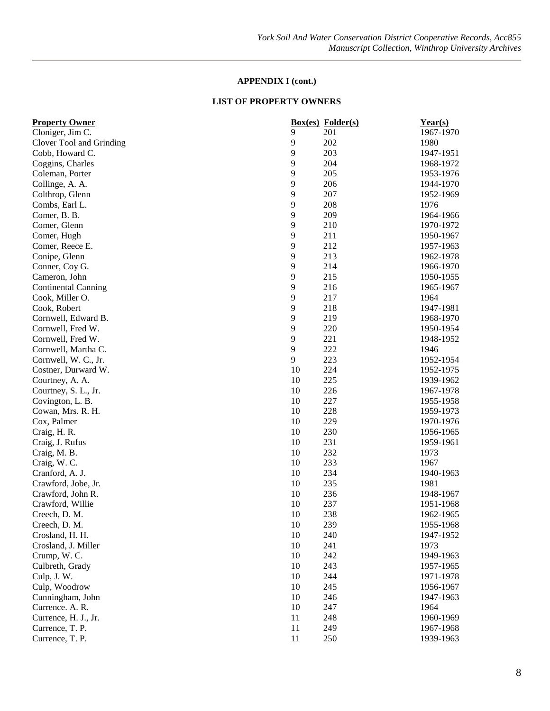| <b>Property Owner</b>      |    | <b>Box(es)</b> Folder(s) | Year(s)   |
|----------------------------|----|--------------------------|-----------|
| Cloniger, Jim C.           | 9  | 201                      | 1967-1970 |
| Clover Tool and Grinding   | 9  | 202                      | 1980      |
| Cobb, Howard C.            | 9  | 203                      | 1947-1951 |
| Coggins, Charles           | 9  | 204                      | 1968-1972 |
| Coleman, Porter            | 9  | 205                      | 1953-1976 |
| Collinge, A. A.            | 9  | 206                      | 1944-1970 |
| Colthrop, Glenn            | 9  | 207                      | 1952-1969 |
| Combs, Earl L.             | 9  | 208                      | 1976      |
| Comer, B. B.               | 9  | 209                      | 1964-1966 |
| Comer, Glenn               | 9  | 210                      | 1970-1972 |
| Comer, Hugh                | 9  | 211                      | 1950-1967 |
| Comer, Reece E.            | 9  | 212                      | 1957-1963 |
| Conipe, Glenn              | 9  | 213                      | 1962-1978 |
| Conner, Coy G.             | 9  | 214                      | 1966-1970 |
| Cameron, John              | 9  | 215                      | 1950-1955 |
| <b>Continental Canning</b> | 9  | 216                      | 1965-1967 |
| Cook, Miller O.            | 9  | 217                      | 1964      |
| Cook, Robert               | 9  | 218                      | 1947-1981 |
| Cornwell, Edward B.        | 9  | 219                      | 1968-1970 |
| Cornwell, Fred W.          | 9  | 220                      | 1950-1954 |
| Cornwell, Fred W.          | 9  | 221                      | 1948-1952 |
| Cornwell, Martha C.        | 9  | 222                      | 1946      |
| Cornwell, W. C., Jr.       | 9  | 223                      | 1952-1954 |
| Costner, Durward W.        | 10 | 224                      | 1952-1975 |
| Courtney, A. A.            | 10 | 225                      | 1939-1962 |
| Courtney, S. L., Jr.       | 10 | 226                      | 1967-1978 |
| Covington, L. B.           | 10 | 227                      | 1955-1958 |
| Cowan, Mrs. R. H.          | 10 | 228                      | 1959-1973 |
| Cox, Palmer                | 10 | 229                      | 1970-1976 |
| Craig, H.R.                | 10 | 230                      | 1956-1965 |
| Craig, J. Rufus            | 10 | 231                      | 1959-1961 |
| Craig, M. B.               | 10 | 232                      | 1973      |
| Craig, W. C.               | 10 | 233                      | 1967      |
| Cranford, A. J.            | 10 | 234                      | 1940-1963 |
| Crawford, Jobe, Jr.        | 10 | 235                      | 1981      |
| Crawford, John R.          | 10 | 236                      | 1948-1967 |
| Crawford, Willie           | 10 | 237                      | 1951-1968 |
| Creech, D. M.              | 10 | 238                      | 1962-1965 |
| Creech, D. M.              | 10 | 239                      | 1955-1968 |
| Crosland, H. H.            | 10 | 240                      | 1947-1952 |
| Crosland, J. Miller        | 10 | 241                      | 1973      |
| Crump, W.C.                | 10 | 242                      | 1949-1963 |
| Culbreth, Grady            | 10 | 243                      | 1957-1965 |
|                            | 10 | 244                      |           |
| Culp, J. W.                | 10 | 245                      | 1971-1978 |
| Culp, Woodrow              |    |                          | 1956-1967 |
| Cunningham, John           | 10 | 246                      | 1947-1963 |
| Currence. A. R.            | 10 | 247                      | 1964      |
| Currence, H. J., Jr.       | 11 | 248                      | 1960-1969 |
| Currence, T. P.            | 11 | 249                      | 1967-1968 |
| Currence, T. P.            | 11 | 250                      | 1939-1963 |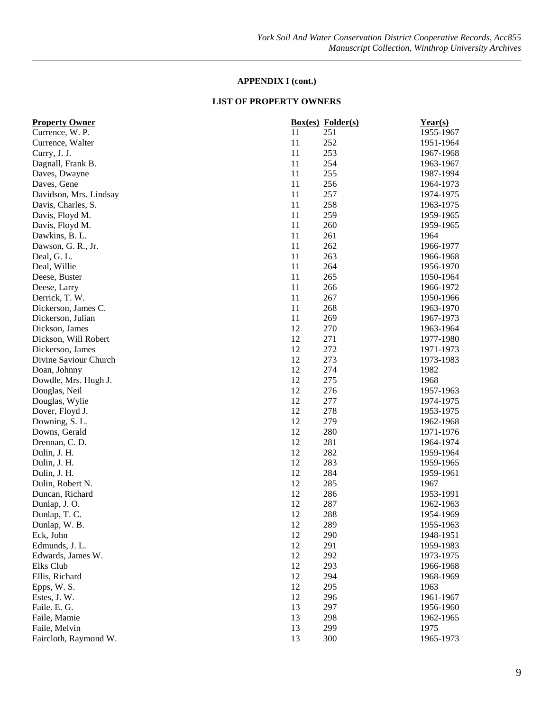| <b>Property Owner</b>  |    | <b>Box(es)</b> Folder(s) | Year(s)   |
|------------------------|----|--------------------------|-----------|
| Currence, W. P.        | 11 | 251                      | 1955-1967 |
| Currence, Walter       | 11 | 252                      | 1951-1964 |
| Curry, J. J.           | 11 | 253                      | 1967-1968 |
| Dagnall, Frank B.      | 11 | 254                      | 1963-1967 |
| Daves, Dwayne          | 11 | 255                      | 1987-1994 |
| Daves, Gene            | 11 | 256                      | 1964-1973 |
| Davidson, Mrs. Lindsay | 11 | 257                      | 1974-1975 |
| Davis, Charles, S.     | 11 | 258                      | 1963-1975 |
| Davis, Floyd M.        | 11 | 259                      | 1959-1965 |
| Davis, Floyd M.        | 11 | 260                      | 1959-1965 |
| Dawkins, B. L.         | 11 | 261                      | 1964      |
| Dawson, G. R., Jr.     | 11 | 262                      | 1966-1977 |
| Deal, G. L.            | 11 | 263                      | 1966-1968 |
| Deal, Willie           | 11 | 264                      | 1956-1970 |
| Deese, Buster          | 11 | 265                      | 1950-1964 |
| Deese, Larry           | 11 | 266                      | 1966-1972 |
| Derrick, T. W.         | 11 | 267                      | 1950-1966 |
| Dickerson, James C.    | 11 | 268                      | 1963-1970 |
| Dickerson, Julian      | 11 | 269                      | 1967-1973 |
| Dickson, James         | 12 | 270                      | 1963-1964 |
| Dickson, Will Robert   | 12 | 271                      | 1977-1980 |
| Dickerson, James       | 12 | 272                      | 1971-1973 |
| Divine Saviour Church  | 12 | 273                      | 1973-1983 |
| Doan, Johnny           | 12 | 274                      | 1982      |
| Dowdle, Mrs. Hugh J.   | 12 | 275                      | 1968      |
| Douglas, Neil          | 12 | 276                      | 1957-1963 |
| Douglas, Wylie         | 12 | 277                      | 1974-1975 |
| Dover, Floyd J.        | 12 | 278                      | 1953-1975 |
| Downing, S. L.         | 12 | 279                      | 1962-1968 |
| Downs, Gerald          | 12 | 280                      | 1971-1976 |
| Drennan, C. D.         | 12 | 281                      | 1964-1974 |
| Dulin, J. H.           | 12 | 282                      | 1959-1964 |
|                        | 12 | 283                      | 1959-1965 |
| Dulin, J. H.           | 12 |                          | 1959-1961 |
| Dulin, J. H.           | 12 | 284<br>285               |           |
| Dulin, Robert N.       |    |                          | 1967      |
| Duncan, Richard        | 12 | 286                      | 1953-1991 |
| Dunlap, J.O.           | 12 | 287                      | 1962-1963 |
| Dunlap, T. C.          | 12 | 288                      | 1954-1969 |
| Dunlap, W. B.          | 12 | 289                      | 1955-1963 |
| Eck, John              | 12 | 290                      | 1948-1951 |
| Edmunds, J. L.         | 12 | 291                      | 1959-1983 |
| Edwards, James W.      | 12 | 292                      | 1973-1975 |
| Elks Club              | 12 | 293                      | 1966-1968 |
| Ellis, Richard         | 12 | 294                      | 1968-1969 |
| Epps, W. S.            | 12 | 295                      | 1963      |
| Estes, J. W.           | 12 | 296                      | 1961-1967 |
| Faile. E. G.           | 13 | 297                      | 1956-1960 |
| Faile, Mamie           | 13 | 298                      | 1962-1965 |
| Faile, Melvin          | 13 | 299                      | 1975      |
| Faircloth, Raymond W.  | 13 | 300                      | 1965-1973 |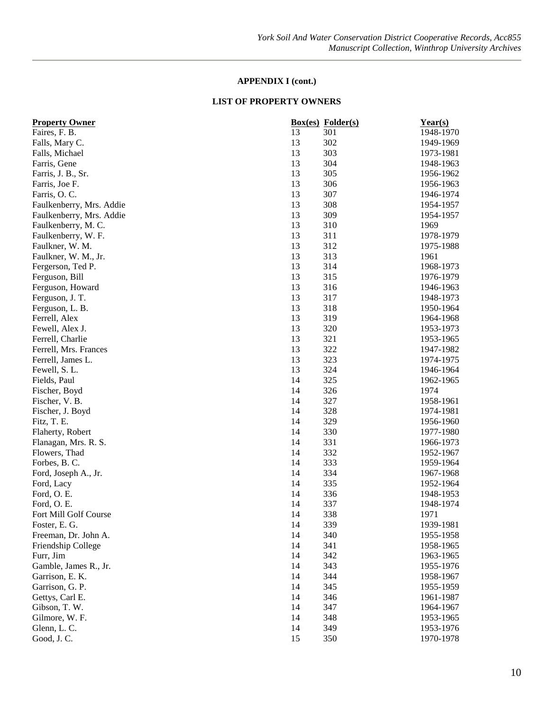| <b>Property Owner</b>    |    | <b>Box(es)</b> Folder(s) | Year(s)   |
|--------------------------|----|--------------------------|-----------|
| Faires, F. B.            | 13 | 301                      | 1948-1970 |
| Falls, Mary C.           | 13 | 302                      | 1949-1969 |
| Falls, Michael           | 13 | 303                      | 1973-1981 |
| Farris, Gene             | 13 | 304                      | 1948-1963 |
| Farris, J. B., Sr.       | 13 | 305                      | 1956-1962 |
| Farris, Joe F.           | 13 | 306                      | 1956-1963 |
| Farris, O.C.             | 13 | 307                      | 1946-1974 |
| Faulkenberry, Mrs. Addie | 13 | 308                      | 1954-1957 |
| Faulkenberry, Mrs. Addie | 13 | 309                      | 1954-1957 |
| Faulkenberry, M. C.      | 13 | 310                      | 1969      |
| Faulkenberry, W. F.      | 13 | 311                      | 1978-1979 |
| Faulkner, W. M.          | 13 | 312                      | 1975-1988 |
| Faulkner, W. M., Jr.     | 13 | 313                      | 1961      |
| Fergerson, Ted P.        | 13 | 314                      | 1968-1973 |
| Ferguson, Bill           | 13 | 315                      | 1976-1979 |
| Ferguson, Howard         | 13 | 316                      | 1946-1963 |
| Ferguson, J. T.          | 13 | 317                      | 1948-1973 |
| Ferguson, L. B.          | 13 | 318                      | 1950-1964 |
| Ferrell, Alex            | 13 | 319                      | 1964-1968 |
| Fewell, Alex J.          | 13 | 320                      | 1953-1973 |
| Ferrell, Charlie         | 13 | 321                      | 1953-1965 |
| Ferrell, Mrs. Frances    | 13 | 322                      | 1947-1982 |
| Ferrell, James L.        | 13 | 323                      | 1974-1975 |
| Fewell, S. L.            | 13 | 324                      | 1946-1964 |
| Fields, Paul             | 14 | 325                      | 1962-1965 |
| Fischer, Boyd            | 14 | 326                      | 1974      |
| Fischer, V. B.           | 14 | 327                      | 1958-1961 |
| Fischer, J. Boyd         | 14 | 328                      | 1974-1981 |
| Fitz, T. E.              | 14 | 329                      | 1956-1960 |
| Flaherty, Robert         | 14 | 330                      | 1977-1980 |
| Flanagan, Mrs. R. S.     | 14 | 331                      | 1966-1973 |
| Flowers, Thad            | 14 | 332                      | 1952-1967 |
| Forbes, B.C.             | 14 | 333                      | 1959-1964 |
| Ford, Joseph A., Jr.     | 14 | 334                      | 1967-1968 |
| Ford, Lacy               | 14 | 335                      | 1952-1964 |
| Ford, O. E.              | 14 | 336                      | 1948-1953 |
| Ford, O. E.              | 14 | 337                      | 1948-1974 |
| Fort Mill Golf Course    | 14 | 338                      | 1971      |
| Foster, E. G.            | 14 | 339                      | 1939-1981 |
| Freeman, Dr. John A.     | 14 | 340                      | 1955-1958 |
| Friendship College       | 14 | 341                      | 1958-1965 |
| Furr, Jim                | 14 | 342                      | 1963-1965 |
| Gamble, James R., Jr.    | 14 | 343                      | 1955-1976 |
| Garrison, E. K.          | 14 | 344                      | 1958-1967 |
| Garrison, G. P.          | 14 | 345                      | 1955-1959 |
| Gettys, Carl E.          | 14 | 346                      | 1961-1987 |
| Gibson, T. W.            | 14 | 347                      | 1964-1967 |
| Gilmore, W. F.           | 14 | 348                      | 1953-1965 |
| Glenn, L. C.             | 14 | 349                      | 1953-1976 |
| Good, J.C.               | 15 | 350                      | 1970-1978 |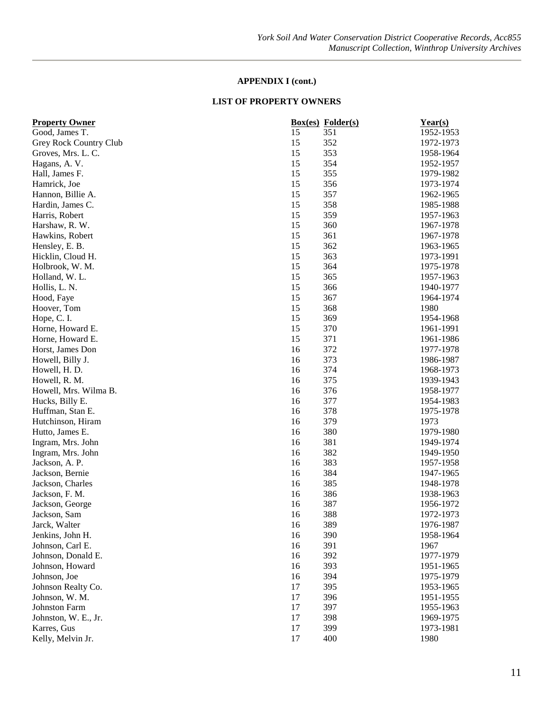| 15<br>351<br>1952-1953<br>Good, James T.<br>15<br>352<br>Grey Rock Country Club<br>1972-1973<br>353<br>Groves, Mrs. L. C.<br>15<br>1958-1964<br>15<br>354<br>1952-1957<br>Hagans, A. V.<br>15<br>355<br>1979-1982<br>Hall, James F.<br>15<br>Hamrick, Joe<br>356<br>1973-1974<br>15<br>357<br>Hannon, Billie A.<br>1962-1965<br>15<br>358<br>1985-1988<br>Hardin, James C.<br>15<br>359<br>Harris, Robert<br>1957-1963<br>15<br>360<br>Harshaw, R. W.<br>1967-1978<br>15<br>Hawkins, Robert<br>361<br>1967-1978<br>15<br>Hensley, E. B.<br>362<br>1963-1965<br>15<br>363<br>Hicklin, Cloud H.<br>1973-1991<br>15<br>364<br>1975-1978<br>Holbrook, W. M.<br>15<br>365<br>1957-1963<br>Holland, W. L.<br>15<br>366<br>1940-1977<br>Hollis, L. N.<br>15<br>367<br>Hood, Faye<br>1964-1974<br>15<br>368<br>1980<br>Hoover, Tom<br>15<br>369<br>Hope, C.I.<br>1954-1968<br>15<br>370<br>1961-1991<br>Horne, Howard E.<br>15<br>Horne, Howard E.<br>371<br>1961-1986<br>Horst, James Don<br>16<br>372<br>1977-1978<br>373<br>Howell, Billy J.<br>16<br>1986-1987<br>374<br>Howell, H. D.<br>16<br>1968-1973<br>375<br>16<br>Howell, R. M.<br>1939-1943<br>Howell, Mrs. Wilma B.<br>16<br>376<br>1958-1977<br>377<br>16<br>1954-1983<br>Hucks, Billy E.<br>378<br>Huffman, Stan E.<br>16<br>1975-1978<br>16<br>379<br>Hutchinson, Hiram<br>1973<br>Hutto, James E.<br>16<br>380<br>1979-1980<br>16<br>381<br>Ingram, Mrs. John<br>1949-1974<br>16<br>382<br>1949-1950<br>Ingram, Mrs. John<br>16<br>383<br>Jackson, A. P.<br>1957-1958<br>16<br>384<br>Jackson, Bernie<br>1947-1965<br>16<br>385<br>1948-1978<br>Jackson, Charles<br>Jackson, F. M.<br>16<br>386<br>1938-1963<br>16<br>387<br>1956-1972<br>Jackson, George<br>388<br>1972-1973<br>16<br>Jackson, Sam<br>1976-1987<br>Jarck, Walter<br>16<br>389<br>1958-1964<br>Jenkins, John H.<br>16<br>390<br>16<br>391<br>1967<br>Johnson, Carl E.<br>Johnson, Donald E.<br>16<br>392<br>1977-1979<br>Johnson, Howard<br>393<br>16<br>1951-1965<br>16<br>394<br>Johnson, Joe<br>1975-1979<br>17<br>395<br>Johnson Realty Co.<br>1953-1965<br>17<br>396<br>Johnson, W. M.<br>1951-1955<br>17<br>397<br>Johnston Farm<br>1955-1963<br>17<br>Johnston, W. E., Jr.<br>398<br>1969-1975<br>17<br>399<br>Karres, Gus<br>1973-1981 | <b>Property Owner</b> |    | <b>Box(es)</b> Folder(s) | Year(s) |
|--------------------------------------------------------------------------------------------------------------------------------------------------------------------------------------------------------------------------------------------------------------------------------------------------------------------------------------------------------------------------------------------------------------------------------------------------------------------------------------------------------------------------------------------------------------------------------------------------------------------------------------------------------------------------------------------------------------------------------------------------------------------------------------------------------------------------------------------------------------------------------------------------------------------------------------------------------------------------------------------------------------------------------------------------------------------------------------------------------------------------------------------------------------------------------------------------------------------------------------------------------------------------------------------------------------------------------------------------------------------------------------------------------------------------------------------------------------------------------------------------------------------------------------------------------------------------------------------------------------------------------------------------------------------------------------------------------------------------------------------------------------------------------------------------------------------------------------------------------------------------------------------------------------------------------------------------------------------------------------------------------------------------------------------------------------------------------------------------------------------------------------------------------------------------------------------------------------------------------------------------------------------------|-----------------------|----|--------------------------|---------|
|                                                                                                                                                                                                                                                                                                                                                                                                                                                                                                                                                                                                                                                                                                                                                                                                                                                                                                                                                                                                                                                                                                                                                                                                                                                                                                                                                                                                                                                                                                                                                                                                                                                                                                                                                                                                                                                                                                                                                                                                                                                                                                                                                                                                                                                                          |                       |    |                          |         |
|                                                                                                                                                                                                                                                                                                                                                                                                                                                                                                                                                                                                                                                                                                                                                                                                                                                                                                                                                                                                                                                                                                                                                                                                                                                                                                                                                                                                                                                                                                                                                                                                                                                                                                                                                                                                                                                                                                                                                                                                                                                                                                                                                                                                                                                                          |                       |    |                          |         |
|                                                                                                                                                                                                                                                                                                                                                                                                                                                                                                                                                                                                                                                                                                                                                                                                                                                                                                                                                                                                                                                                                                                                                                                                                                                                                                                                                                                                                                                                                                                                                                                                                                                                                                                                                                                                                                                                                                                                                                                                                                                                                                                                                                                                                                                                          |                       |    |                          |         |
|                                                                                                                                                                                                                                                                                                                                                                                                                                                                                                                                                                                                                                                                                                                                                                                                                                                                                                                                                                                                                                                                                                                                                                                                                                                                                                                                                                                                                                                                                                                                                                                                                                                                                                                                                                                                                                                                                                                                                                                                                                                                                                                                                                                                                                                                          |                       |    |                          |         |
|                                                                                                                                                                                                                                                                                                                                                                                                                                                                                                                                                                                                                                                                                                                                                                                                                                                                                                                                                                                                                                                                                                                                                                                                                                                                                                                                                                                                                                                                                                                                                                                                                                                                                                                                                                                                                                                                                                                                                                                                                                                                                                                                                                                                                                                                          |                       |    |                          |         |
|                                                                                                                                                                                                                                                                                                                                                                                                                                                                                                                                                                                                                                                                                                                                                                                                                                                                                                                                                                                                                                                                                                                                                                                                                                                                                                                                                                                                                                                                                                                                                                                                                                                                                                                                                                                                                                                                                                                                                                                                                                                                                                                                                                                                                                                                          |                       |    |                          |         |
|                                                                                                                                                                                                                                                                                                                                                                                                                                                                                                                                                                                                                                                                                                                                                                                                                                                                                                                                                                                                                                                                                                                                                                                                                                                                                                                                                                                                                                                                                                                                                                                                                                                                                                                                                                                                                                                                                                                                                                                                                                                                                                                                                                                                                                                                          |                       |    |                          |         |
|                                                                                                                                                                                                                                                                                                                                                                                                                                                                                                                                                                                                                                                                                                                                                                                                                                                                                                                                                                                                                                                                                                                                                                                                                                                                                                                                                                                                                                                                                                                                                                                                                                                                                                                                                                                                                                                                                                                                                                                                                                                                                                                                                                                                                                                                          |                       |    |                          |         |
|                                                                                                                                                                                                                                                                                                                                                                                                                                                                                                                                                                                                                                                                                                                                                                                                                                                                                                                                                                                                                                                                                                                                                                                                                                                                                                                                                                                                                                                                                                                                                                                                                                                                                                                                                                                                                                                                                                                                                                                                                                                                                                                                                                                                                                                                          |                       |    |                          |         |
|                                                                                                                                                                                                                                                                                                                                                                                                                                                                                                                                                                                                                                                                                                                                                                                                                                                                                                                                                                                                                                                                                                                                                                                                                                                                                                                                                                                                                                                                                                                                                                                                                                                                                                                                                                                                                                                                                                                                                                                                                                                                                                                                                                                                                                                                          |                       |    |                          |         |
|                                                                                                                                                                                                                                                                                                                                                                                                                                                                                                                                                                                                                                                                                                                                                                                                                                                                                                                                                                                                                                                                                                                                                                                                                                                                                                                                                                                                                                                                                                                                                                                                                                                                                                                                                                                                                                                                                                                                                                                                                                                                                                                                                                                                                                                                          |                       |    |                          |         |
|                                                                                                                                                                                                                                                                                                                                                                                                                                                                                                                                                                                                                                                                                                                                                                                                                                                                                                                                                                                                                                                                                                                                                                                                                                                                                                                                                                                                                                                                                                                                                                                                                                                                                                                                                                                                                                                                                                                                                                                                                                                                                                                                                                                                                                                                          |                       |    |                          |         |
|                                                                                                                                                                                                                                                                                                                                                                                                                                                                                                                                                                                                                                                                                                                                                                                                                                                                                                                                                                                                                                                                                                                                                                                                                                                                                                                                                                                                                                                                                                                                                                                                                                                                                                                                                                                                                                                                                                                                                                                                                                                                                                                                                                                                                                                                          |                       |    |                          |         |
|                                                                                                                                                                                                                                                                                                                                                                                                                                                                                                                                                                                                                                                                                                                                                                                                                                                                                                                                                                                                                                                                                                                                                                                                                                                                                                                                                                                                                                                                                                                                                                                                                                                                                                                                                                                                                                                                                                                                                                                                                                                                                                                                                                                                                                                                          |                       |    |                          |         |
|                                                                                                                                                                                                                                                                                                                                                                                                                                                                                                                                                                                                                                                                                                                                                                                                                                                                                                                                                                                                                                                                                                                                                                                                                                                                                                                                                                                                                                                                                                                                                                                                                                                                                                                                                                                                                                                                                                                                                                                                                                                                                                                                                                                                                                                                          |                       |    |                          |         |
|                                                                                                                                                                                                                                                                                                                                                                                                                                                                                                                                                                                                                                                                                                                                                                                                                                                                                                                                                                                                                                                                                                                                                                                                                                                                                                                                                                                                                                                                                                                                                                                                                                                                                                                                                                                                                                                                                                                                                                                                                                                                                                                                                                                                                                                                          |                       |    |                          |         |
|                                                                                                                                                                                                                                                                                                                                                                                                                                                                                                                                                                                                                                                                                                                                                                                                                                                                                                                                                                                                                                                                                                                                                                                                                                                                                                                                                                                                                                                                                                                                                                                                                                                                                                                                                                                                                                                                                                                                                                                                                                                                                                                                                                                                                                                                          |                       |    |                          |         |
|                                                                                                                                                                                                                                                                                                                                                                                                                                                                                                                                                                                                                                                                                                                                                                                                                                                                                                                                                                                                                                                                                                                                                                                                                                                                                                                                                                                                                                                                                                                                                                                                                                                                                                                                                                                                                                                                                                                                                                                                                                                                                                                                                                                                                                                                          |                       |    |                          |         |
|                                                                                                                                                                                                                                                                                                                                                                                                                                                                                                                                                                                                                                                                                                                                                                                                                                                                                                                                                                                                                                                                                                                                                                                                                                                                                                                                                                                                                                                                                                                                                                                                                                                                                                                                                                                                                                                                                                                                                                                                                                                                                                                                                                                                                                                                          |                       |    |                          |         |
|                                                                                                                                                                                                                                                                                                                                                                                                                                                                                                                                                                                                                                                                                                                                                                                                                                                                                                                                                                                                                                                                                                                                                                                                                                                                                                                                                                                                                                                                                                                                                                                                                                                                                                                                                                                                                                                                                                                                                                                                                                                                                                                                                                                                                                                                          |                       |    |                          |         |
|                                                                                                                                                                                                                                                                                                                                                                                                                                                                                                                                                                                                                                                                                                                                                                                                                                                                                                                                                                                                                                                                                                                                                                                                                                                                                                                                                                                                                                                                                                                                                                                                                                                                                                                                                                                                                                                                                                                                                                                                                                                                                                                                                                                                                                                                          |                       |    |                          |         |
|                                                                                                                                                                                                                                                                                                                                                                                                                                                                                                                                                                                                                                                                                                                                                                                                                                                                                                                                                                                                                                                                                                                                                                                                                                                                                                                                                                                                                                                                                                                                                                                                                                                                                                                                                                                                                                                                                                                                                                                                                                                                                                                                                                                                                                                                          |                       |    |                          |         |
|                                                                                                                                                                                                                                                                                                                                                                                                                                                                                                                                                                                                                                                                                                                                                                                                                                                                                                                                                                                                                                                                                                                                                                                                                                                                                                                                                                                                                                                                                                                                                                                                                                                                                                                                                                                                                                                                                                                                                                                                                                                                                                                                                                                                                                                                          |                       |    |                          |         |
|                                                                                                                                                                                                                                                                                                                                                                                                                                                                                                                                                                                                                                                                                                                                                                                                                                                                                                                                                                                                                                                                                                                                                                                                                                                                                                                                                                                                                                                                                                                                                                                                                                                                                                                                                                                                                                                                                                                                                                                                                                                                                                                                                                                                                                                                          |                       |    |                          |         |
|                                                                                                                                                                                                                                                                                                                                                                                                                                                                                                                                                                                                                                                                                                                                                                                                                                                                                                                                                                                                                                                                                                                                                                                                                                                                                                                                                                                                                                                                                                                                                                                                                                                                                                                                                                                                                                                                                                                                                                                                                                                                                                                                                                                                                                                                          |                       |    |                          |         |
|                                                                                                                                                                                                                                                                                                                                                                                                                                                                                                                                                                                                                                                                                                                                                                                                                                                                                                                                                                                                                                                                                                                                                                                                                                                                                                                                                                                                                                                                                                                                                                                                                                                                                                                                                                                                                                                                                                                                                                                                                                                                                                                                                                                                                                                                          |                       |    |                          |         |
|                                                                                                                                                                                                                                                                                                                                                                                                                                                                                                                                                                                                                                                                                                                                                                                                                                                                                                                                                                                                                                                                                                                                                                                                                                                                                                                                                                                                                                                                                                                                                                                                                                                                                                                                                                                                                                                                                                                                                                                                                                                                                                                                                                                                                                                                          |                       |    |                          |         |
|                                                                                                                                                                                                                                                                                                                                                                                                                                                                                                                                                                                                                                                                                                                                                                                                                                                                                                                                                                                                                                                                                                                                                                                                                                                                                                                                                                                                                                                                                                                                                                                                                                                                                                                                                                                                                                                                                                                                                                                                                                                                                                                                                                                                                                                                          |                       |    |                          |         |
|                                                                                                                                                                                                                                                                                                                                                                                                                                                                                                                                                                                                                                                                                                                                                                                                                                                                                                                                                                                                                                                                                                                                                                                                                                                                                                                                                                                                                                                                                                                                                                                                                                                                                                                                                                                                                                                                                                                                                                                                                                                                                                                                                                                                                                                                          |                       |    |                          |         |
|                                                                                                                                                                                                                                                                                                                                                                                                                                                                                                                                                                                                                                                                                                                                                                                                                                                                                                                                                                                                                                                                                                                                                                                                                                                                                                                                                                                                                                                                                                                                                                                                                                                                                                                                                                                                                                                                                                                                                                                                                                                                                                                                                                                                                                                                          |                       |    |                          |         |
|                                                                                                                                                                                                                                                                                                                                                                                                                                                                                                                                                                                                                                                                                                                                                                                                                                                                                                                                                                                                                                                                                                                                                                                                                                                                                                                                                                                                                                                                                                                                                                                                                                                                                                                                                                                                                                                                                                                                                                                                                                                                                                                                                                                                                                                                          |                       |    |                          |         |
|                                                                                                                                                                                                                                                                                                                                                                                                                                                                                                                                                                                                                                                                                                                                                                                                                                                                                                                                                                                                                                                                                                                                                                                                                                                                                                                                                                                                                                                                                                                                                                                                                                                                                                                                                                                                                                                                                                                                                                                                                                                                                                                                                                                                                                                                          |                       |    |                          |         |
|                                                                                                                                                                                                                                                                                                                                                                                                                                                                                                                                                                                                                                                                                                                                                                                                                                                                                                                                                                                                                                                                                                                                                                                                                                                                                                                                                                                                                                                                                                                                                                                                                                                                                                                                                                                                                                                                                                                                                                                                                                                                                                                                                                                                                                                                          |                       |    |                          |         |
|                                                                                                                                                                                                                                                                                                                                                                                                                                                                                                                                                                                                                                                                                                                                                                                                                                                                                                                                                                                                                                                                                                                                                                                                                                                                                                                                                                                                                                                                                                                                                                                                                                                                                                                                                                                                                                                                                                                                                                                                                                                                                                                                                                                                                                                                          |                       |    |                          |         |
|                                                                                                                                                                                                                                                                                                                                                                                                                                                                                                                                                                                                                                                                                                                                                                                                                                                                                                                                                                                                                                                                                                                                                                                                                                                                                                                                                                                                                                                                                                                                                                                                                                                                                                                                                                                                                                                                                                                                                                                                                                                                                                                                                                                                                                                                          |                       |    |                          |         |
|                                                                                                                                                                                                                                                                                                                                                                                                                                                                                                                                                                                                                                                                                                                                                                                                                                                                                                                                                                                                                                                                                                                                                                                                                                                                                                                                                                                                                                                                                                                                                                                                                                                                                                                                                                                                                                                                                                                                                                                                                                                                                                                                                                                                                                                                          |                       |    |                          |         |
|                                                                                                                                                                                                                                                                                                                                                                                                                                                                                                                                                                                                                                                                                                                                                                                                                                                                                                                                                                                                                                                                                                                                                                                                                                                                                                                                                                                                                                                                                                                                                                                                                                                                                                                                                                                                                                                                                                                                                                                                                                                                                                                                                                                                                                                                          |                       |    |                          |         |
|                                                                                                                                                                                                                                                                                                                                                                                                                                                                                                                                                                                                                                                                                                                                                                                                                                                                                                                                                                                                                                                                                                                                                                                                                                                                                                                                                                                                                                                                                                                                                                                                                                                                                                                                                                                                                                                                                                                                                                                                                                                                                                                                                                                                                                                                          |                       |    |                          |         |
|                                                                                                                                                                                                                                                                                                                                                                                                                                                                                                                                                                                                                                                                                                                                                                                                                                                                                                                                                                                                                                                                                                                                                                                                                                                                                                                                                                                                                                                                                                                                                                                                                                                                                                                                                                                                                                                                                                                                                                                                                                                                                                                                                                                                                                                                          |                       |    |                          |         |
|                                                                                                                                                                                                                                                                                                                                                                                                                                                                                                                                                                                                                                                                                                                                                                                                                                                                                                                                                                                                                                                                                                                                                                                                                                                                                                                                                                                                                                                                                                                                                                                                                                                                                                                                                                                                                                                                                                                                                                                                                                                                                                                                                                                                                                                                          |                       |    |                          |         |
|                                                                                                                                                                                                                                                                                                                                                                                                                                                                                                                                                                                                                                                                                                                                                                                                                                                                                                                                                                                                                                                                                                                                                                                                                                                                                                                                                                                                                                                                                                                                                                                                                                                                                                                                                                                                                                                                                                                                                                                                                                                                                                                                                                                                                                                                          |                       |    |                          |         |
|                                                                                                                                                                                                                                                                                                                                                                                                                                                                                                                                                                                                                                                                                                                                                                                                                                                                                                                                                                                                                                                                                                                                                                                                                                                                                                                                                                                                                                                                                                                                                                                                                                                                                                                                                                                                                                                                                                                                                                                                                                                                                                                                                                                                                                                                          |                       |    |                          |         |
|                                                                                                                                                                                                                                                                                                                                                                                                                                                                                                                                                                                                                                                                                                                                                                                                                                                                                                                                                                                                                                                                                                                                                                                                                                                                                                                                                                                                                                                                                                                                                                                                                                                                                                                                                                                                                                                                                                                                                                                                                                                                                                                                                                                                                                                                          |                       |    |                          |         |
|                                                                                                                                                                                                                                                                                                                                                                                                                                                                                                                                                                                                                                                                                                                                                                                                                                                                                                                                                                                                                                                                                                                                                                                                                                                                                                                                                                                                                                                                                                                                                                                                                                                                                                                                                                                                                                                                                                                                                                                                                                                                                                                                                                                                                                                                          |                       |    |                          |         |
|                                                                                                                                                                                                                                                                                                                                                                                                                                                                                                                                                                                                                                                                                                                                                                                                                                                                                                                                                                                                                                                                                                                                                                                                                                                                                                                                                                                                                                                                                                                                                                                                                                                                                                                                                                                                                                                                                                                                                                                                                                                                                                                                                                                                                                                                          |                       |    |                          |         |
|                                                                                                                                                                                                                                                                                                                                                                                                                                                                                                                                                                                                                                                                                                                                                                                                                                                                                                                                                                                                                                                                                                                                                                                                                                                                                                                                                                                                                                                                                                                                                                                                                                                                                                                                                                                                                                                                                                                                                                                                                                                                                                                                                                                                                                                                          |                       |    |                          |         |
|                                                                                                                                                                                                                                                                                                                                                                                                                                                                                                                                                                                                                                                                                                                                                                                                                                                                                                                                                                                                                                                                                                                                                                                                                                                                                                                                                                                                                                                                                                                                                                                                                                                                                                                                                                                                                                                                                                                                                                                                                                                                                                                                                                                                                                                                          |                       |    |                          |         |
|                                                                                                                                                                                                                                                                                                                                                                                                                                                                                                                                                                                                                                                                                                                                                                                                                                                                                                                                                                                                                                                                                                                                                                                                                                                                                                                                                                                                                                                                                                                                                                                                                                                                                                                                                                                                                                                                                                                                                                                                                                                                                                                                                                                                                                                                          |                       |    |                          |         |
|                                                                                                                                                                                                                                                                                                                                                                                                                                                                                                                                                                                                                                                                                                                                                                                                                                                                                                                                                                                                                                                                                                                                                                                                                                                                                                                                                                                                                                                                                                                                                                                                                                                                                                                                                                                                                                                                                                                                                                                                                                                                                                                                                                                                                                                                          |                       |    |                          |         |
|                                                                                                                                                                                                                                                                                                                                                                                                                                                                                                                                                                                                                                                                                                                                                                                                                                                                                                                                                                                                                                                                                                                                                                                                                                                                                                                                                                                                                                                                                                                                                                                                                                                                                                                                                                                                                                                                                                                                                                                                                                                                                                                                                                                                                                                                          | Kelly, Melvin Jr.     | 17 | 400                      | 1980    |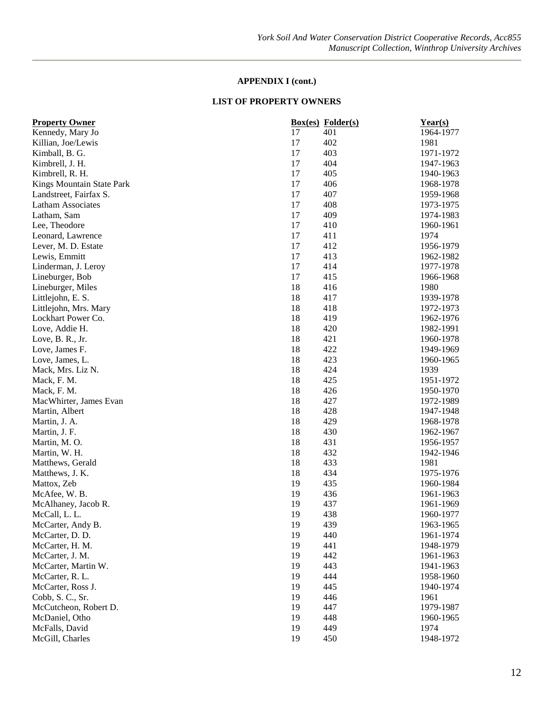| <b>Property Owner</b>     |    | <b>Box(es)</b> Folder(s) | Year(s)   |
|---------------------------|----|--------------------------|-----------|
| Kennedy, Mary Jo          | 17 | 401                      | 1964-1977 |
| Killian, Joe/Lewis        | 17 | 402                      | 1981      |
| Kimball, B. G.            | 17 | 403                      | 1971-1972 |
| Kimbrell, J. H.           | 17 | 404                      | 1947-1963 |
| Kimbrell, R. H.           | 17 | 405                      | 1940-1963 |
| Kings Mountain State Park | 17 | 406                      | 1968-1978 |
| Landstreet, Fairfax S.    | 17 | 407                      | 1959-1968 |
| <b>Latham Associates</b>  | 17 | 408                      | 1973-1975 |
| Latham, Sam               | 17 | 409                      | 1974-1983 |
| Lee, Theodore             | 17 | 410                      | 1960-1961 |
| Leonard, Lawrence         | 17 | 411                      | 1974      |
| Lever, M. D. Estate       | 17 | 412                      | 1956-1979 |
| Lewis, Emmitt             | 17 | 413                      | 1962-1982 |
| Linderman, J. Leroy       | 17 | 414                      | 1977-1978 |
| Lineburger, Bob           | 17 | 415                      | 1966-1968 |
| Lineburger, Miles         | 18 | 416                      | 1980      |
| Littlejohn, E. S.         | 18 | 417                      | 1939-1978 |
| Littlejohn, Mrs. Mary     | 18 | 418                      | 1972-1973 |
| Lockhart Power Co.        | 18 | 419                      | 1962-1976 |
| Love, Addie H.            | 18 | 420                      | 1982-1991 |
| Love, B. R., Jr.          | 18 | 421                      | 1960-1978 |
| Love, James F.            | 18 | 422                      | 1949-1969 |
| Love, James, L.           | 18 | 423                      | 1960-1965 |
| Mack, Mrs. Liz N.         | 18 | 424                      | 1939      |
| Mack, F. M.               | 18 | 425                      | 1951-1972 |
| Mack, F. M.               | 18 | 426                      | 1950-1970 |
| MacWhirter, James Evan    | 18 | 427                      | 1972-1989 |
| Martin, Albert            | 18 | 428                      | 1947-1948 |
| Martin, J. A.             | 18 | 429                      | 1968-1978 |
| Martin, J. F.             | 18 | 430                      | 1962-1967 |
| Martin, M. O.             | 18 | 431                      | 1956-1957 |
| Martin, W. H.             | 18 | 432                      | 1942-1946 |
| Matthews, Gerald          | 18 | 433                      | 1981      |
| Matthews, J. K.           | 18 | 434                      | 1975-1976 |
| Mattox, Zeb               | 19 | 435                      | 1960-1984 |
| McAfee, W. B.             | 19 | 436                      | 1961-1963 |
| McAlhaney, Jacob R.       | 19 | 437                      | 1961-1969 |
| McCall, L. L.             | 19 | 438                      | 1960-1977 |
| McCarter, Andy B.         | 19 | 439                      | 1963-1965 |
| McCarter, D. D.           | 19 | 440                      | 1961-1974 |
| McCarter, H. M.           | 19 | 441                      | 1948-1979 |
| McCarter, J. M.           | 19 | 442                      | 1961-1963 |
| McCarter, Martin W.       | 19 | 443                      | 1941-1963 |
| McCarter, R. L.           | 19 | 444                      | 1958-1960 |
| McCarter, Ross J.         | 19 | 445                      | 1940-1974 |
| Cobb, S.C., Sr.           | 19 | 446                      | 1961      |
| McCutcheon, Robert D.     | 19 | 447                      | 1979-1987 |
| McDaniel, Otho            | 19 | 448                      | 1960-1965 |
| McFalls, David            | 19 | 449                      | 1974      |
| McGill, Charles           | 19 | 450                      | 1948-1972 |
|                           |    |                          |           |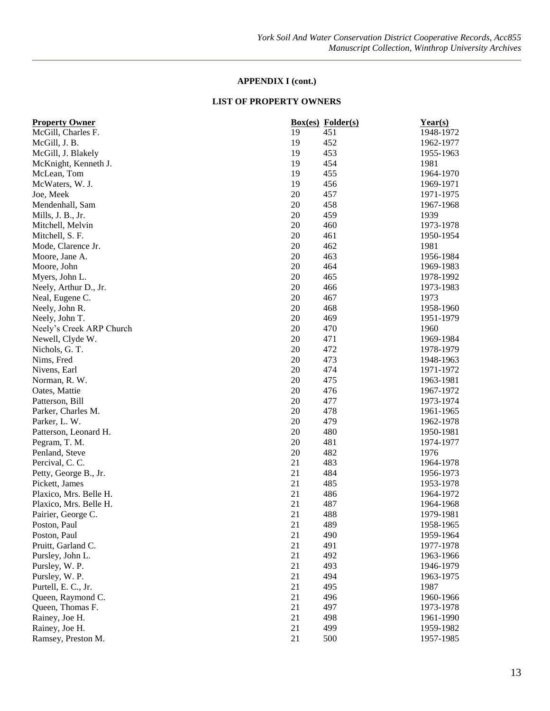| <b>Property Owner</b>    |    | <b>Box(es)</b> Folder(s) | Year(s)   |
|--------------------------|----|--------------------------|-----------|
| McGill, Charles F.       | 19 | 451                      | 1948-1972 |
| McGill, J. B.            | 19 | 452                      | 1962-1977 |
| McGill, J. Blakely       | 19 | 453                      | 1955-1963 |
| McKnight, Kenneth J.     | 19 | 454                      | 1981      |
| McLean, Tom              | 19 | 455                      | 1964-1970 |
| McWaters, W. J.          | 19 | 456                      | 1969-1971 |
| Joe, Meek                | 20 | 457                      | 1971-1975 |
| Mendenhall, Sam          | 20 | 458                      | 1967-1968 |
| Mills, J. B., Jr.        | 20 | 459                      | 1939      |
| Mitchell, Melvin         | 20 | 460                      | 1973-1978 |
| Mitchell, S. F.          | 20 | 461                      | 1950-1954 |
| Mode, Clarence Jr.       | 20 | 462                      | 1981      |
| Moore, Jane A.           | 20 | 463                      | 1956-1984 |
| Moore, John              | 20 | 464                      | 1969-1983 |
| Myers, John L.           | 20 | 465                      | 1978-1992 |
| Neely, Arthur D., Jr.    | 20 | 466                      | 1973-1983 |
| Neal, Eugene C.          | 20 | 467                      | 1973      |
| Neely, John R.           | 20 | 468                      | 1958-1960 |
| Neely, John T.           | 20 | 469                      | 1951-1979 |
| Neely's Creek ARP Church | 20 | 470                      | 1960      |
| Newell, Clyde W.         | 20 | 471                      | 1969-1984 |
| Nichols, G. T.           | 20 | 472                      | 1978-1979 |
| Nims, Fred               | 20 | 473                      | 1948-1963 |
| Nivens, Earl             | 20 | 474                      | 1971-1972 |
| Norman, R. W.            | 20 | 475                      | 1963-1981 |
| Oates, Mattie            | 20 | 476                      | 1967-1972 |
| Patterson, Bill          | 20 | 477                      | 1973-1974 |
| Parker, Charles M.       | 20 | 478                      | 1961-1965 |
| Parker, L. W.            | 20 | 479                      | 1962-1978 |
| Patterson, Leonard H.    | 20 | 480                      | 1950-1981 |
| Pegram, T. M.            | 20 | 481                      | 1974-1977 |
| Penland, Steve           | 20 | 482                      | 1976      |
| Percival, C. C.          | 21 | 483                      | 1964-1978 |
|                          | 21 | 484                      |           |
| Petty, George B., Jr.    | 21 | 485                      | 1956-1973 |
| Pickett, James           | 21 |                          | 1953-1978 |
| Plaxico, Mrs. Belle H.   |    | 486                      | 1964-1972 |
| Plaxico, Mrs. Belle H.   | 21 | 487                      | 1964-1968 |
| Pairier, George C.       | 21 | 488                      | 1979-1981 |
| Poston, Paul             | 21 | 489                      | 1958-1965 |
| Poston, Paul             | 21 | 490                      | 1959-1964 |
| Pruitt, Garland C.       | 21 | 491                      | 1977-1978 |
| Pursley, John L.         | 21 | 492                      | 1963-1966 |
| Pursley, W. P.           | 21 | 493                      | 1946-1979 |
| Pursley, W. P.           | 21 | 494                      | 1963-1975 |
| Purtell, E. C., Jr.      | 21 | 495                      | 1987      |
| Queen, Raymond C.        | 21 | 496                      | 1960-1966 |
| Queen, Thomas F.         | 21 | 497                      | 1973-1978 |
| Rainey, Joe H.           | 21 | 498                      | 1961-1990 |
| Rainey, Joe H.           | 21 | 499                      | 1959-1982 |
| Ramsey, Preston M.       | 21 | 500                      | 1957-1985 |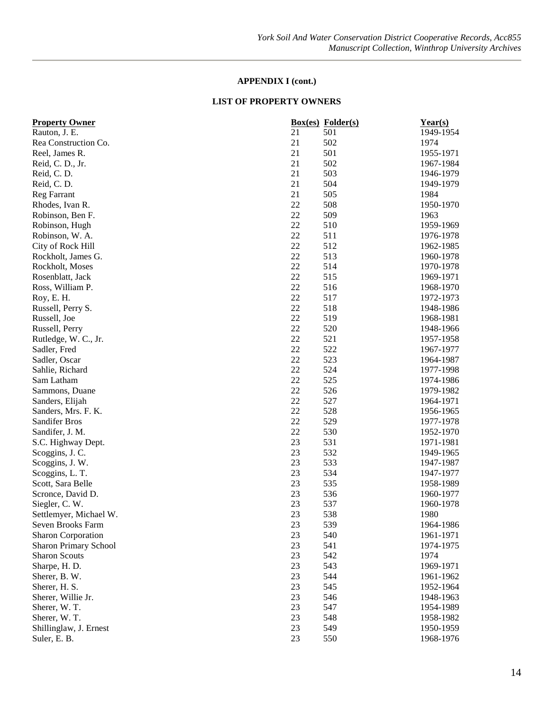| Rauton, J. E.<br>21<br>501<br>1949-1954<br>21<br>502<br>1974<br>Rea Construction Co.<br>21<br>501<br>Reel, James R.<br>1955-1971<br>21<br>502<br>1967-1984<br>Reid, C. D., Jr.<br>21<br>503<br>Reid, C.D.<br>1946-1979<br>21<br>Reid, C.D.<br>504<br>1949-1979<br>21<br>505<br>Reg Farrant<br>1984<br>22<br>508<br>1950-1970<br>Rhodes, Ivan R.<br>22<br>509<br>Robinson, Ben F.<br>1963<br>22<br>510<br>Robinson, Hugh<br>1959-1969<br>22<br>511<br>1976-1978<br>Robinson, W. A.<br>22<br>512<br>City of Rock Hill<br>1962-1985<br>22<br>513<br>Rockholt, James G.<br>1960-1978<br>22<br>514<br>1970-1978<br>Rockholt, Moses<br>22<br>515<br>1969-1971<br>Rosenblatt, Jack<br>22<br>516<br>1968-1970<br>Ross, William P. |
|---------------------------------------------------------------------------------------------------------------------------------------------------------------------------------------------------------------------------------------------------------------------------------------------------------------------------------------------------------------------------------------------------------------------------------------------------------------------------------------------------------------------------------------------------------------------------------------------------------------------------------------------------------------------------------------------------------------------------|
|                                                                                                                                                                                                                                                                                                                                                                                                                                                                                                                                                                                                                                                                                                                           |
|                                                                                                                                                                                                                                                                                                                                                                                                                                                                                                                                                                                                                                                                                                                           |
|                                                                                                                                                                                                                                                                                                                                                                                                                                                                                                                                                                                                                                                                                                                           |
|                                                                                                                                                                                                                                                                                                                                                                                                                                                                                                                                                                                                                                                                                                                           |
|                                                                                                                                                                                                                                                                                                                                                                                                                                                                                                                                                                                                                                                                                                                           |
|                                                                                                                                                                                                                                                                                                                                                                                                                                                                                                                                                                                                                                                                                                                           |
|                                                                                                                                                                                                                                                                                                                                                                                                                                                                                                                                                                                                                                                                                                                           |
|                                                                                                                                                                                                                                                                                                                                                                                                                                                                                                                                                                                                                                                                                                                           |
|                                                                                                                                                                                                                                                                                                                                                                                                                                                                                                                                                                                                                                                                                                                           |
|                                                                                                                                                                                                                                                                                                                                                                                                                                                                                                                                                                                                                                                                                                                           |
|                                                                                                                                                                                                                                                                                                                                                                                                                                                                                                                                                                                                                                                                                                                           |
|                                                                                                                                                                                                                                                                                                                                                                                                                                                                                                                                                                                                                                                                                                                           |
|                                                                                                                                                                                                                                                                                                                                                                                                                                                                                                                                                                                                                                                                                                                           |
|                                                                                                                                                                                                                                                                                                                                                                                                                                                                                                                                                                                                                                                                                                                           |
|                                                                                                                                                                                                                                                                                                                                                                                                                                                                                                                                                                                                                                                                                                                           |
|                                                                                                                                                                                                                                                                                                                                                                                                                                                                                                                                                                                                                                                                                                                           |
| 22<br>517<br>Roy, E. H.<br>1972-1973                                                                                                                                                                                                                                                                                                                                                                                                                                                                                                                                                                                                                                                                                      |
| 22<br>518<br>1948-1986<br>Russell, Perry S.                                                                                                                                                                                                                                                                                                                                                                                                                                                                                                                                                                                                                                                                               |
| 22<br>519<br>Russell, Joe<br>1968-1981                                                                                                                                                                                                                                                                                                                                                                                                                                                                                                                                                                                                                                                                                    |
| 22<br>520<br>1948-1966<br>Russell, Perry                                                                                                                                                                                                                                                                                                                                                                                                                                                                                                                                                                                                                                                                                  |
| 22<br>521<br>1957-1958<br>Rutledge, W. C., Jr.                                                                                                                                                                                                                                                                                                                                                                                                                                                                                                                                                                                                                                                                            |
| 22<br>522<br>Sadler, Fred<br>1967-1977                                                                                                                                                                                                                                                                                                                                                                                                                                                                                                                                                                                                                                                                                    |
| 22<br>523<br>Sadler, Oscar<br>1964-1987                                                                                                                                                                                                                                                                                                                                                                                                                                                                                                                                                                                                                                                                                   |
| 22<br>524<br>Sahlie, Richard<br>1977-1998                                                                                                                                                                                                                                                                                                                                                                                                                                                                                                                                                                                                                                                                                 |
| 22<br>Sam Latham<br>525<br>1974-1986                                                                                                                                                                                                                                                                                                                                                                                                                                                                                                                                                                                                                                                                                      |
| 22<br>526<br>1979-1982<br>Sammons, Duane                                                                                                                                                                                                                                                                                                                                                                                                                                                                                                                                                                                                                                                                                  |
| 22<br>527<br>1964-1971<br>Sanders, Elijah                                                                                                                                                                                                                                                                                                                                                                                                                                                                                                                                                                                                                                                                                 |
| 22<br>Sanders, Mrs. F. K.<br>528<br>1956-1965                                                                                                                                                                                                                                                                                                                                                                                                                                                                                                                                                                                                                                                                             |
| 22<br>529<br>Sandifer Bros<br>1977-1978                                                                                                                                                                                                                                                                                                                                                                                                                                                                                                                                                                                                                                                                                   |
| 22<br>530<br>Sandifer, J. M.<br>1952-1970                                                                                                                                                                                                                                                                                                                                                                                                                                                                                                                                                                                                                                                                                 |
| 23<br>531<br>S.C. Highway Dept.<br>1971-1981                                                                                                                                                                                                                                                                                                                                                                                                                                                                                                                                                                                                                                                                              |
| 23<br>532<br>Scoggins, J. C.<br>1949-1965                                                                                                                                                                                                                                                                                                                                                                                                                                                                                                                                                                                                                                                                                 |
| 23<br>533<br>Scoggins, J. W.<br>1947-1987                                                                                                                                                                                                                                                                                                                                                                                                                                                                                                                                                                                                                                                                                 |
| 23<br>534<br>Scoggins, L. T.<br>1947-1977                                                                                                                                                                                                                                                                                                                                                                                                                                                                                                                                                                                                                                                                                 |
| 23<br>535<br>1958-1989<br>Scott, Sara Belle                                                                                                                                                                                                                                                                                                                                                                                                                                                                                                                                                                                                                                                                               |
| 23<br>536<br>1960-1977<br>Scronce, David D.                                                                                                                                                                                                                                                                                                                                                                                                                                                                                                                                                                                                                                                                               |
| 23<br>537<br>1960-1978<br>Siegler, C. W.                                                                                                                                                                                                                                                                                                                                                                                                                                                                                                                                                                                                                                                                                  |
| 23<br>538<br>1980<br>Settlemyer, Michael W.                                                                                                                                                                                                                                                                                                                                                                                                                                                                                                                                                                                                                                                                               |
| 539<br>1964-1986<br>Seven Brooks Farm<br>23                                                                                                                                                                                                                                                                                                                                                                                                                                                                                                                                                                                                                                                                               |
| 23<br><b>Sharon Corporation</b><br>540<br>1961-1971                                                                                                                                                                                                                                                                                                                                                                                                                                                                                                                                                                                                                                                                       |
| 23<br>541<br>Sharon Primary School<br>1974-1975                                                                                                                                                                                                                                                                                                                                                                                                                                                                                                                                                                                                                                                                           |
| 23<br><b>Sharon Scouts</b><br>542<br>1974                                                                                                                                                                                                                                                                                                                                                                                                                                                                                                                                                                                                                                                                                 |
| Sharpe, H. D.<br>23<br>543<br>1969-1971                                                                                                                                                                                                                                                                                                                                                                                                                                                                                                                                                                                                                                                                                   |
| 23<br>544<br>Sherer, B. W.<br>1961-1962                                                                                                                                                                                                                                                                                                                                                                                                                                                                                                                                                                                                                                                                                   |
| 23<br>545<br>Sherer, H. S.<br>1952-1964                                                                                                                                                                                                                                                                                                                                                                                                                                                                                                                                                                                                                                                                                   |
| Sherer, Willie Jr.<br>23<br>546<br>1948-1963                                                                                                                                                                                                                                                                                                                                                                                                                                                                                                                                                                                                                                                                              |
| 23<br>547<br>Sherer, W.T.<br>1954-1989                                                                                                                                                                                                                                                                                                                                                                                                                                                                                                                                                                                                                                                                                    |
| 23<br>Sherer, W.T.<br>548<br>1958-1982                                                                                                                                                                                                                                                                                                                                                                                                                                                                                                                                                                                                                                                                                    |
| 23<br>Shillinglaw, J. Ernest<br>549<br>1950-1959                                                                                                                                                                                                                                                                                                                                                                                                                                                                                                                                                                                                                                                                          |
| 23<br>550<br>1968-1976<br>Suler, E. B.                                                                                                                                                                                                                                                                                                                                                                                                                                                                                                                                                                                                                                                                                    |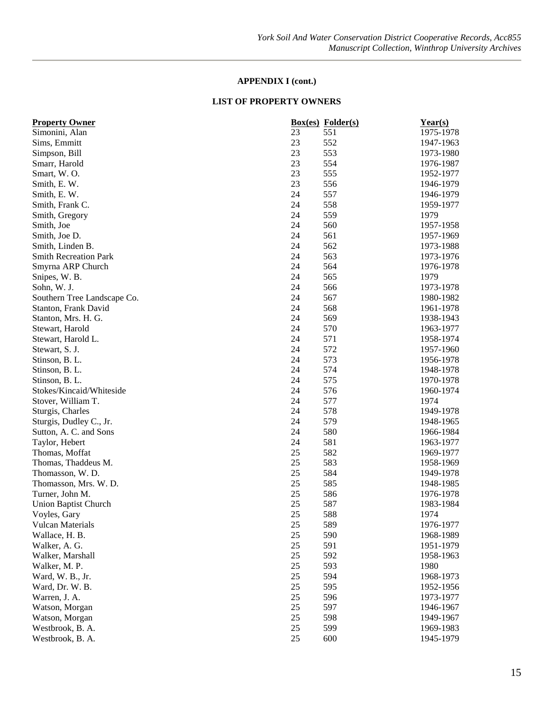| <b>Property Owner</b>            |          | <b>Box(es)</b> Folder(s) | $Year(s)$ |
|----------------------------------|----------|--------------------------|-----------|
| Simonini, Alan                   | 23       | 551                      | 1975-1978 |
| Sims, Emmitt                     | 23       | 552                      | 1947-1963 |
| Simpson, Bill                    | 23       | 553                      | 1973-1980 |
| Smarr, Harold                    | 23       | 554                      | 1976-1987 |
| Smart, W.O.                      | 23       | 555                      | 1952-1977 |
| Smith, E. W.                     | 23       | 556                      | 1946-1979 |
| Smith, E. W.                     | 24       | 557                      | 1946-1979 |
| Smith, Frank C.                  | 24       | 558                      | 1959-1977 |
| Smith, Gregory                   | 24       | 559                      | 1979      |
| Smith, Joe                       | 24       | 560                      | 1957-1958 |
| Smith, Joe D.                    | 24       | 561                      | 1957-1969 |
| Smith, Linden B.                 | 24       | 562                      | 1973-1988 |
| <b>Smith Recreation Park</b>     | 24       | 563                      | 1973-1976 |
| Smyrna ARP Church                | 24       | 564                      | 1976-1978 |
| Snipes, W. B.                    | 24       | 565                      | 1979      |
| Sohn, W. J.                      | 24       | 566                      | 1973-1978 |
| Southern Tree Landscape Co.      | 24       | 567                      | 1980-1982 |
| Stanton, Frank David             | 24       | 568                      | 1961-1978 |
| Stanton, Mrs. H. G.              | 24       | 569                      | 1938-1943 |
| Stewart, Harold                  | 24       | 570                      | 1963-1977 |
| Stewart, Harold L.               | 24       | 571                      | 1958-1974 |
| Stewart, S. J.                   | 24       | 572                      | 1957-1960 |
| Stinson, B. L.                   | 24       | 573                      | 1956-1978 |
| Stinson, B. L.                   | 24       | 574                      | 1948-1978 |
| Stinson, B. L.                   | 24       | 575                      | 1970-1978 |
| Stokes/Kincaid/Whiteside         | 24       | 576                      | 1960-1974 |
| Stover, William T.               | 24       | 577                      | 1974      |
| Sturgis, Charles                 | 24       | 578                      | 1949-1978 |
| Sturgis, Dudley C., Jr.          | 24       | 579                      | 1948-1965 |
| Sutton, A. C. and Sons           | 24       | 580                      | 1966-1984 |
| Taylor, Hebert                   | 24       | 581                      | 1963-1977 |
| Thomas, Moffat                   | 25       | 582                      | 1969-1977 |
| Thomas, Thaddeus M.              | 25       | 583                      | 1958-1969 |
| Thomasson, W.D.                  | 25       | 584                      | 1949-1978 |
| Thomasson, Mrs. W. D.            | 25       | 585                      | 1948-1985 |
| Turner, John M.                  | 25       | 586                      | 1976-1978 |
| <b>Union Baptist Church</b>      | 25       | 587                      | 1983-1984 |
| Voyles, Gary                     | 25       | 588                      | 1974      |
| <b>Vulcan Materials</b>          | 25       | 589                      | 1976-1977 |
| Wallace, H. B.                   | 25       | 590                      | 1968-1989 |
| Walker, A. G.                    | 25       | 591                      | 1951-1979 |
| Walker, Marshall                 | 25       | 592                      | 1958-1963 |
| Walker, M. P.                    | 25       | 593                      | 1980      |
| Ward, W. B., Jr.                 | 25       | 594                      | 1968-1973 |
|                                  | 25       | 595                      |           |
| Ward, Dr. W. B.<br>Warren, J. A. |          |                          | 1952-1956 |
| Watson, Morgan                   | 25<br>25 | 596<br>597               | 1973-1977 |
|                                  |          |                          | 1946-1967 |
| Watson, Morgan                   | $25\,$   | 598                      | 1949-1967 |
| Westbrook, B. A.                 | $25\,$   | 599                      | 1969-1983 |
| Westbrook, B. A.                 | 25       | 600                      | 1945-1979 |